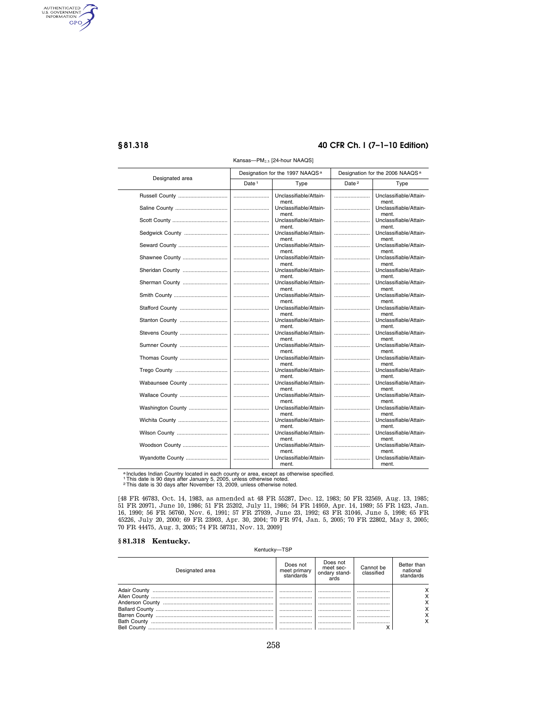AUTHENTICATED<br>U.S. GOVERNMENT<br>INFORMATION GPO

#### **§ 81.318 40 CFR Ch. I (7–1–10 Edition)**

| Designated area   |                   | Designation for the 1997 NAAQS <sup>a</sup> | Designation for the 2006 NAAQS <sup>a</sup> |                                 |  |  |  |
|-------------------|-------------------|---------------------------------------------|---------------------------------------------|---------------------------------|--|--|--|
|                   | Date <sup>1</sup> | Type                                        | Date <sup>2</sup>                           | Type                            |  |  |  |
|                   |                   | Unclassifiable/Attain-<br>ment.             |                                             | Unclassifiable/Attain-<br>ment. |  |  |  |
|                   |                   | Unclassifiable/Attain-<br>ment.             |                                             | Unclassifiable/Attain-<br>ment. |  |  |  |
|                   |                   | Unclassifiable/Attain-<br>ment.             |                                             | Unclassifiable/Attain-<br>ment. |  |  |  |
| Sedgwick County   |                   | Unclassifiable/Attain-<br>ment.             |                                             | Unclassifiable/Attain-<br>ment. |  |  |  |
| Seward County     |                   | Unclassifiable/Attain-<br>ment.             |                                             | Unclassifiable/Attain-<br>ment. |  |  |  |
| Shawnee County    |                   | Unclassifiable/Attain-<br>ment.             |                                             | Unclassifiable/Attain-<br>ment. |  |  |  |
| Sheridan County   |                   | Unclassifiable/Attain-<br>ment.             |                                             | Unclassifiable/Attain-<br>ment. |  |  |  |
| Sherman County    |                   | Unclassifiable/Attain-<br>ment.             |                                             | Unclassifiable/Attain-<br>ment. |  |  |  |
|                   |                   | Unclassifiable/Attain-<br>ment.             |                                             | Unclassifiable/Attain-<br>ment. |  |  |  |
| Stafford County   |                   | Unclassifiable/Attain-<br>ment.             |                                             | Unclassifiable/Attain-<br>ment. |  |  |  |
| Stanton County    |                   | Unclassifiable/Attain-<br>ment.             |                                             | Unclassifiable/Attain-<br>ment. |  |  |  |
| Stevens County    |                   | Unclassifiable/Attain-<br>ment.             |                                             | Unclassifiable/Attain-<br>ment. |  |  |  |
| Sumner County     |                   | Unclassifiable/Attain-<br>ment.             |                                             | Unclassifiable/Attain-<br>ment. |  |  |  |
| Thomas County     |                   | Unclassifiable/Attain-<br>ment.             |                                             | Unclassifiable/Attain-<br>ment. |  |  |  |
|                   |                   | Unclassifiable/Attain-<br>ment.             |                                             | Unclassifiable/Attain-<br>ment. |  |  |  |
| Wabaunsee County  |                   | Unclassifiable/Attain-<br>ment.             |                                             | Unclassifiable/Attain-<br>ment. |  |  |  |
| Wallace County    |                   | Unclassifiable/Attain-<br>ment.             |                                             | Unclassifiable/Attain-<br>ment. |  |  |  |
| Washington County |                   | Unclassifiable/Attain-<br>ment.             |                                             | Unclassifiable/Attain-<br>ment. |  |  |  |
| Wichita County    |                   | Unclassifiable/Attain-<br>ment.             |                                             | Unclassifiable/Attain-<br>ment. |  |  |  |
| Wilson County     |                   | Unclassifiable/Attain-<br>ment.             |                                             | Unclassifiable/Attain-<br>ment. |  |  |  |
| Woodson County    |                   | Unclassifiable/Attain-<br>ment.             |                                             | Unclassifiable/Attain-<br>ment. |  |  |  |
| Wyandotte County  |                   | Unclassifiable/Attain-<br>ment.             |                                             | Unclassifiable/Attain-<br>ment. |  |  |  |

Kansas-PM<sub>2.5</sub> [24-hour NAAQS]

ª Includes Indian Country located in each county or area, except as otherwise specified.<br>† This date is 90 days after January 5, 2005, unless otherwise noted.<br>⋷This date is 30 days after November 13, 2009, unless otherwis

[48 FR 46783, Oct. 14, 1983, as amended at 48 FR 55287, Dec. 12, 1983; 50 FR 32569, Aug. 13, 1985;

51 FR 20971, June 10, 1986; 51 FR 25202, July 11, 1986; 54 FR 14959, Apr. 14, 1989; 55 FR 1423, Jan. 16, 1990; 56 FR 56760, Nov. 6, 1991; 57 FR 27939, June 23, 1992; 63 FR 31046, June 5, 1998; 65 FR 45226, July 20, 2000; 69 FR 23903, Apr. 30, 2004; 70 FR 974, Jan. 5, 2005; 70 FR 22802, May 3, 2005; 70 FR 44475, Aug. 3, 2005; 74 FR 58731, Nov. 13, 2009]

#### **§ 81.318 Kentucky.**

Kentucky—TSP

| Designated area    | Does not<br>meet primary<br>standards | Does not<br>meet sec-<br>ondary stand-<br>ards | Cannot be<br>classified | Better than<br>national<br>standards |
|--------------------|---------------------------------------|------------------------------------------------|-------------------------|--------------------------------------|
| Adair County       |                                       |                                                |                         |                                      |
|                    | <br>                                  | <br>                                           | <br>                    |                                      |
|                    | <br>                                  | <br>                                           | <br>                    |                                      |
|                    |                                       |                                                |                         |                                      |
| <b>Bell County</b> |                                       |                                                |                         |                                      |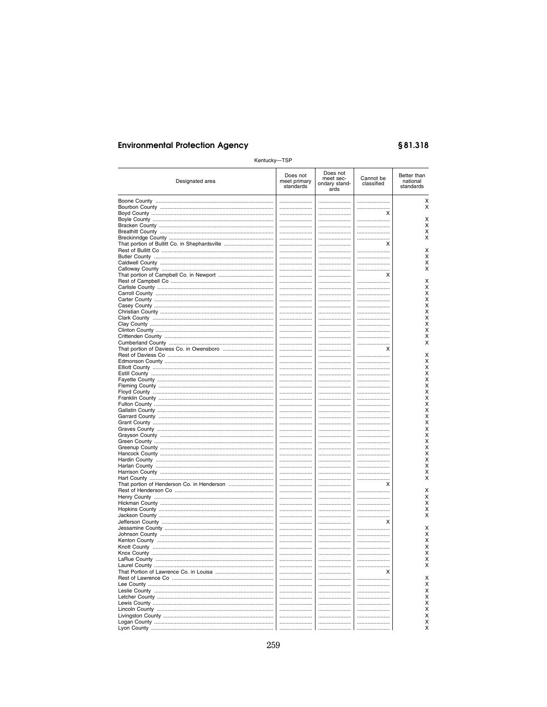# §81.318

| Kentucky-TSP    |                                       |                                                |                         |                                      |
|-----------------|---------------------------------------|------------------------------------------------|-------------------------|--------------------------------------|
| Designated area | Does not<br>meet primary<br>standards | Does not<br>meet sec-<br>ondary stand-<br>ards | Cannot be<br>classified | Better than<br>national<br>standards |
|                 |                                       |                                                |                         | х                                    |
|                 |                                       |                                                |                         | X                                    |
|                 |                                       |                                                | х                       |                                      |
|                 |                                       |                                                |                         | х<br>х                               |
|                 | <br>                                  | <br>                                           | <br>                    | X                                    |
|                 |                                       |                                                |                         | X                                    |
|                 |                                       |                                                | х                       |                                      |
|                 |                                       |                                                |                         | х                                    |
|                 |                                       |                                                |                         | х                                    |
|                 |                                       |                                                |                         | х<br>х                               |
|                 |                                       |                                                | <br>х                   |                                      |
|                 |                                       |                                                |                         | х                                    |
|                 |                                       |                                                |                         | х                                    |
|                 |                                       |                                                |                         | x                                    |
|                 |                                       |                                                |                         | Χ                                    |
|                 |                                       |                                                |                         | Χ                                    |
|                 |                                       |                                                |                         | X<br>X                               |
|                 | <br>                                  | <br>                                           | <br>                    | Χ                                    |
|                 |                                       |                                                |                         | X                                    |
|                 |                                       |                                                |                         | x                                    |
|                 |                                       |                                                |                         | x                                    |
|                 |                                       |                                                | X                       |                                      |
|                 |                                       |                                                |                         | х                                    |
|                 |                                       |                                                |                         | х                                    |
|                 |                                       |                                                |                         | х<br>х                               |
|                 | <br>                                  | <br>                                           |                         | х                                    |
|                 |                                       |                                                |                         | Χ                                    |
|                 |                                       |                                                |                         | X                                    |
|                 |                                       |                                                |                         | X                                    |
|                 |                                       |                                                |                         | Χ                                    |
|                 |                                       |                                                |                         | х                                    |
|                 |                                       |                                                |                         | Χ                                    |
|                 | <br>                                  | <br>                                           | <br>                    | Χ<br>Χ                               |
|                 |                                       |                                                |                         | X                                    |
|                 |                                       |                                                |                         | X                                    |
|                 |                                       |                                                |                         | Χ                                    |
|                 |                                       |                                                |                         | X                                    |
|                 |                                       |                                                |                         | Χ                                    |
|                 |                                       |                                                |                         | х                                    |
|                 | <br>                                  | <br>                                           | <br>                    | х<br>X                               |
|                 |                                       |                                                | х                       |                                      |
|                 |                                       |                                                |                         | х                                    |
|                 |                                       |                                                |                         | х                                    |
|                 |                                       |                                                |                         | х                                    |
|                 |                                       |                                                |                         | х                                    |
|                 |                                       |                                                |                         | х                                    |
|                 |                                       |                                                | х                       |                                      |
|                 |                                       |                                                |                         | х<br>x                               |
|                 |                                       | <br>                                           | <br>                    | х                                    |
|                 |                                       |                                                |                         | х                                    |
| Knox County     |                                       |                                                |                         | х                                    |
|                 |                                       |                                                |                         | х                                    |
|                 |                                       |                                                |                         | X                                    |
|                 |                                       |                                                | х                       |                                      |
|                 |                                       |                                                |                         | х                                    |
|                 |                                       |                                                |                         | X<br>Χ                               |
|                 | <br>                                  | <br>                                           |                         | Χ                                    |
|                 |                                       |                                                | <br>                    | Χ                                    |
|                 |                                       |                                                |                         | Χ                                    |
|                 |                                       |                                                |                         | Χ                                    |
|                 |                                       |                                                |                         | X                                    |
|                 |                                       |                                                |                         | x                                    |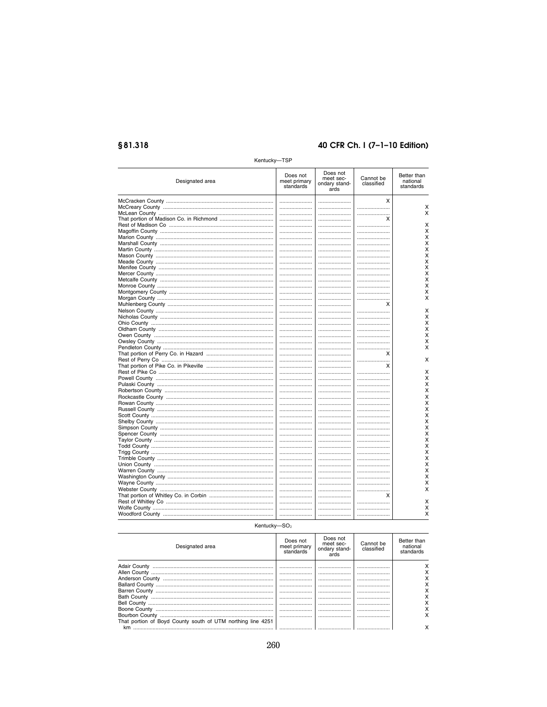# §81.318

# 40 CFR Ch. I (7-1-10 Edition)

| neritucky-      | – 1 ог                                |                                                |                         |                                      |
|-----------------|---------------------------------------|------------------------------------------------|-------------------------|--------------------------------------|
| Designated area | Does not<br>meet primary<br>standards | Does not<br>meet sec-<br>ondary stand-<br>ards | Cannot be<br>classified | Better than<br>national<br>standards |
|                 |                                       |                                                | x                       |                                      |
|                 |                                       |                                                |                         | Χ                                    |
|                 |                                       |                                                |                         | Χ                                    |
|                 |                                       |                                                | х                       |                                      |
|                 |                                       |                                                |                         | х                                    |
|                 |                                       |                                                |                         | X                                    |
|                 |                                       |                                                |                         | Χ                                    |
|                 |                                       |                                                |                         |                                      |
|                 |                                       |                                                |                         | Χ                                    |
|                 |                                       |                                                |                         | X                                    |
|                 |                                       |                                                |                         | X                                    |
|                 |                                       |                                                |                         | X                                    |
|                 |                                       |                                                |                         | Χ                                    |
|                 |                                       |                                                |                         | Χ                                    |
|                 |                                       |                                                |                         | Χ                                    |
|                 |                                       |                                                |                         | X                                    |
|                 |                                       |                                                |                         | Χ                                    |
|                 |                                       |                                                |                         | X                                    |
|                 |                                       |                                                | х                       |                                      |
|                 |                                       |                                                |                         | х                                    |
|                 |                                       |                                                |                         | X                                    |
|                 |                                       |                                                |                         | Χ                                    |
|                 |                                       |                                                |                         | X                                    |
|                 |                                       |                                                |                         |                                      |
|                 |                                       |                                                |                         | X                                    |
|                 |                                       |                                                |                         | Χ                                    |
|                 |                                       |                                                |                         | х                                    |
|                 |                                       |                                                | х                       |                                      |
|                 |                                       |                                                |                         | X                                    |
|                 |                                       |                                                | x                       |                                      |
|                 |                                       |                                                |                         | X                                    |
|                 |                                       |                                                |                         | Χ                                    |
|                 |                                       |                                                |                         | X                                    |
|                 |                                       |                                                |                         | х                                    |
|                 |                                       |                                                |                         | Χ                                    |
|                 |                                       |                                                |                         | X                                    |
|                 |                                       |                                                |                         | X                                    |
|                 |                                       |                                                |                         | X                                    |
|                 |                                       |                                                |                         |                                      |
|                 |                                       |                                                |                         | X                                    |
|                 |                                       |                                                |                         | Χ                                    |
|                 |                                       |                                                |                         | X                                    |
|                 |                                       |                                                |                         | х                                    |
|                 |                                       |                                                |                         | Χ                                    |
|                 |                                       |                                                |                         | Χ                                    |
|                 |                                       |                                                |                         | Χ                                    |
|                 |                                       |                                                |                         | х                                    |
|                 |                                       |                                                |                         | Χ                                    |
|                 |                                       |                                                |                         | X                                    |
|                 |                                       |                                                |                         | Χ                                    |
|                 |                                       |                                                |                         | X                                    |
|                 |                                       |                                                | х                       |                                      |
|                 |                                       |                                                |                         |                                      |
|                 |                                       |                                                |                         | Χ                                    |
|                 |                                       |                                                |                         | х                                    |
|                 |                                       |                                                |                         | X                                    |

Kentucky-TSP

Kentucky- $SO<sub>2</sub>$ 

| Designated area                                             | Does not<br>meet primary | Does not<br>meet sec-<br>ondary stand- | Cannot be<br>classified | Better than<br>national |
|-------------------------------------------------------------|--------------------------|----------------------------------------|-------------------------|-------------------------|
|                                                             | standards                | ards                                   |                         | standards               |
|                                                             |                          |                                        |                         |                         |
|                                                             |                          |                                        |                         |                         |
|                                                             |                          |                                        |                         |                         |
|                                                             |                          |                                        |                         |                         |
|                                                             |                          |                                        |                         |                         |
|                                                             |                          |                                        |                         |                         |
|                                                             |                          |                                        |                         |                         |
|                                                             |                          |                                        |                         |                         |
|                                                             |                          |                                        |                         |                         |
| That portion of Boyd County south of UTM northing line 4251 |                          |                                        |                         |                         |
| km                                                          |                          |                                        |                         |                         |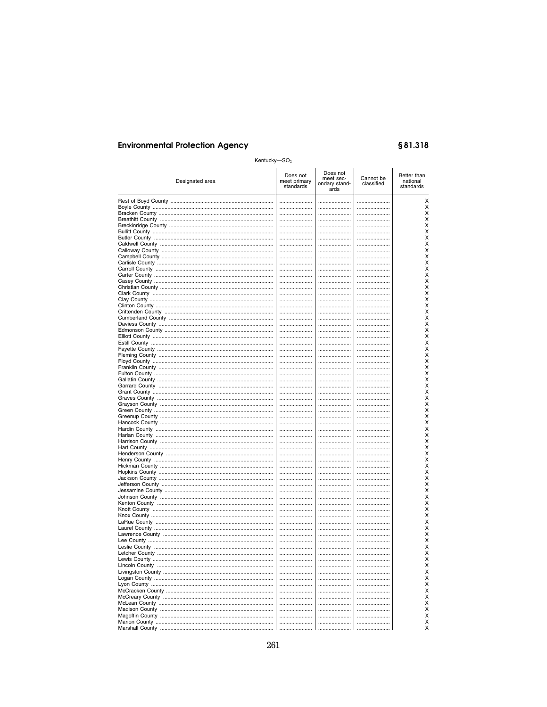# §81.318

| Kentucky- $SO2$ |                                       |                                                |                         |                                      |
|-----------------|---------------------------------------|------------------------------------------------|-------------------------|--------------------------------------|
| Designated area | Does not<br>meet primary<br>standards | Does not<br>meet sec-<br>ondary stand-<br>ards | Cannot be<br>classified | Better than<br>national<br>standards |
|                 |                                       |                                                |                         | х                                    |
|                 |                                       |                                                |                         | X                                    |
|                 | <br>                                  |                                                |                         | х<br>х                               |
|                 |                                       |                                                |                         | х                                    |
|                 |                                       |                                                |                         | Χ                                    |
|                 |                                       |                                                |                         | Χ                                    |
|                 |                                       | <br>                                           | <br>                    | х<br>х                               |
|                 |                                       |                                                |                         | х                                    |
|                 |                                       |                                                |                         | Χ                                    |
|                 |                                       |                                                |                         | X                                    |
|                 | <br>                                  |                                                |                         | Χ<br>Χ                               |
|                 |                                       |                                                |                         | х                                    |
|                 |                                       |                                                |                         | Χ                                    |
|                 |                                       |                                                |                         | Χ                                    |
|                 |                                       |                                                |                         | x                                    |
|                 | <br>                                  | <br>                                           | <br>                    | X<br>Χ                               |
|                 |                                       |                                                |                         | Χ                                    |
|                 |                                       |                                                |                         | X                                    |
|                 |                                       |                                                |                         | Χ                                    |
|                 |                                       |                                                |                         | Χ                                    |
|                 | <br>                                  | <br>                                           | <br>                    | х<br>Χ                               |
|                 |                                       |                                                |                         | Χ                                    |
|                 |                                       |                                                |                         | х                                    |
|                 |                                       |                                                |                         | x                                    |
|                 | <br>                                  | <br>                                           | <br>                    | x<br>Χ                               |
|                 |                                       |                                                |                         | X                                    |
|                 |                                       |                                                |                         | X                                    |
|                 |                                       |                                                |                         | Χ                                    |
|                 |                                       |                                                |                         | х<br>Χ                               |
|                 | <br>                                  | <br>                                           | <br>                    | Χ                                    |
|                 |                                       |                                                |                         | х                                    |
|                 |                                       |                                                |                         | X                                    |
|                 |                                       |                                                |                         | х                                    |
|                 |                                       | <br>                                           | <br>                    | Χ<br>Χ                               |
|                 |                                       |                                                |                         | Χ                                    |
|                 |                                       |                                                |                         | х                                    |
|                 |                                       |                                                |                         | х                                    |
|                 |                                       |                                                |                         | Χ                                    |
|                 | <br>                                  | <br>                                           | <br>                    | Χ<br>х                               |
|                 |                                       |                                                |                         | Χ                                    |
|                 |                                       |                                                |                         | х                                    |
|                 |                                       |                                                |                         | х                                    |
|                 | <br>                                  | <br>                                           | <br>                    | Χ<br>Χ                               |
|                 |                                       |                                                |                         | х                                    |
|                 |                                       |                                                |                         | Χ                                    |
|                 |                                       |                                                |                         | Χ                                    |
| Letcher County  |                                       |                                                |                         | х<br>х                               |
|                 |                                       |                                                |                         | х                                    |
|                 |                                       |                                                |                         | X                                    |
|                 |                                       |                                                |                         | X                                    |
|                 |                                       |                                                |                         | Χ                                    |
|                 |                                       |                                                |                         | Χ<br>Χ                               |
|                 | <br>                                  |                                                | <br>                    | Χ                                    |
|                 |                                       |                                                |                         | Χ                                    |
|                 |                                       |                                                |                         | Χ                                    |
|                 |                                       |                                                |                         | Χ                                    |
|                 |                                       |                                                |                         | Χ                                    |
|                 |                                       |                                                |                         | X                                    |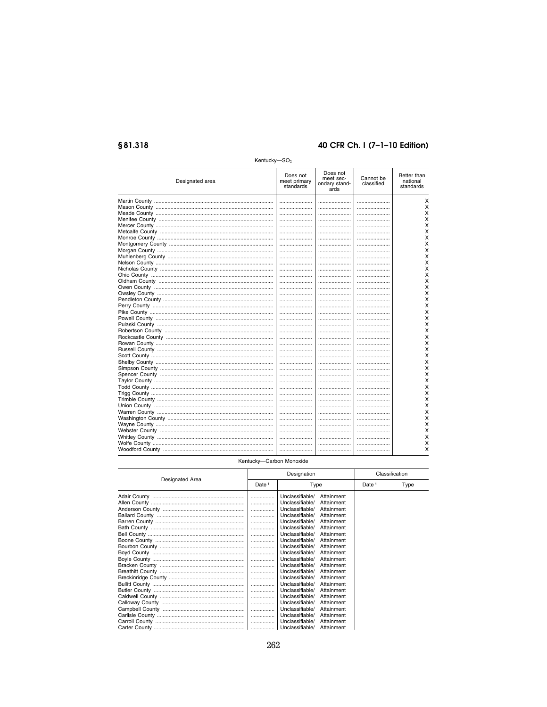# §81.318

### 40 CFR Ch. I (7-1-10 Edition)

| Does not<br>Does not<br>Better than<br>meet sec-<br>Cannot be<br>Designated area<br>meet primary<br>national<br>ondary stand-<br>classified<br>standards<br>standards<br>ards<br><br><br><br><br>X<br>х<br>Χ<br>X<br>X<br>х<br><br><br>х<br><br><br>х<br>X<br>X<br><br><br>Χ<br>X<br><br><br><br>X<br><br><br>Χ<br>Χ<br>х<br>X<br><br><br>Χ<br>.<br><br><br><br><br>X<br><br><br> | Kentucky- $SO2$ |  |   |
|-----------------------------------------------------------------------------------------------------------------------------------------------------------------------------------------------------------------------------------------------------------------------------------------------------------------------------------------------------------------------------------|-----------------|--|---|
|                                                                                                                                                                                                                                                                                                                                                                                   |                 |  |   |
|                                                                                                                                                                                                                                                                                                                                                                                   |                 |  | X |
|                                                                                                                                                                                                                                                                                                                                                                                   |                 |  | х |
|                                                                                                                                                                                                                                                                                                                                                                                   |                 |  | х |
|                                                                                                                                                                                                                                                                                                                                                                                   |                 |  | х |
|                                                                                                                                                                                                                                                                                                                                                                                   |                 |  | X |
|                                                                                                                                                                                                                                                                                                                                                                                   |                 |  | X |
|                                                                                                                                                                                                                                                                                                                                                                                   |                 |  |   |
|                                                                                                                                                                                                                                                                                                                                                                                   |                 |  |   |
|                                                                                                                                                                                                                                                                                                                                                                                   |                 |  |   |
|                                                                                                                                                                                                                                                                                                                                                                                   |                 |  |   |
|                                                                                                                                                                                                                                                                                                                                                                                   |                 |  |   |
|                                                                                                                                                                                                                                                                                                                                                                                   |                 |  |   |
|                                                                                                                                                                                                                                                                                                                                                                                   |                 |  |   |
|                                                                                                                                                                                                                                                                                                                                                                                   |                 |  |   |
|                                                                                                                                                                                                                                                                                                                                                                                   |                 |  |   |
|                                                                                                                                                                                                                                                                                                                                                                                   |                 |  |   |
|                                                                                                                                                                                                                                                                                                                                                                                   |                 |  |   |
|                                                                                                                                                                                                                                                                                                                                                                                   |                 |  | х |
|                                                                                                                                                                                                                                                                                                                                                                                   |                 |  | X |
|                                                                                                                                                                                                                                                                                                                                                                                   |                 |  | X |
|                                                                                                                                                                                                                                                                                                                                                                                   |                 |  | X |
|                                                                                                                                                                                                                                                                                                                                                                                   |                 |  | х |
|                                                                                                                                                                                                                                                                                                                                                                                   |                 |  | х |
|                                                                                                                                                                                                                                                                                                                                                                                   |                 |  | X |
|                                                                                                                                                                                                                                                                                                                                                                                   |                 |  | X |
|                                                                                                                                                                                                                                                                                                                                                                                   |                 |  |   |
|                                                                                                                                                                                                                                                                                                                                                                                   |                 |  |   |
|                                                                                                                                                                                                                                                                                                                                                                                   |                 |  |   |
|                                                                                                                                                                                                                                                                                                                                                                                   |                 |  |   |
|                                                                                                                                                                                                                                                                                                                                                                                   |                 |  |   |
|                                                                                                                                                                                                                                                                                                                                                                                   |                 |  |   |
|                                                                                                                                                                                                                                                                                                                                                                                   |                 |  |   |
|                                                                                                                                                                                                                                                                                                                                                                                   |                 |  |   |
|                                                                                                                                                                                                                                                                                                                                                                                   |                 |  |   |
|                                                                                                                                                                                                                                                                                                                                                                                   |                 |  | х |
|                                                                                                                                                                                                                                                                                                                                                                                   |                 |  | X |
|                                                                                                                                                                                                                                                                                                                                                                                   |                 |  | X |
|                                                                                                                                                                                                                                                                                                                                                                                   |                 |  | Χ |
|                                                                                                                                                                                                                                                                                                                                                                                   |                 |  | X |
|                                                                                                                                                                                                                                                                                                                                                                                   |                 |  | X |
|                                                                                                                                                                                                                                                                                                                                                                                   |                 |  | х |
|                                                                                                                                                                                                                                                                                                                                                                                   |                 |  | х |
|                                                                                                                                                                                                                                                                                                                                                                                   |                 |  |   |
|                                                                                                                                                                                                                                                                                                                                                                                   |                 |  |   |

#### Kentucky-Carbon Monoxide

| Designated Area | Designation       |                 |            | Classification    |      |
|-----------------|-------------------|-----------------|------------|-------------------|------|
|                 | Date <sup>1</sup> | Type            |            | Date <sup>1</sup> | Type |
|                 | .                 | Unclassifiable/ | Attainment |                   |      |
|                 | .                 | Unclassifiable/ | Attainment |                   |      |
|                 | .                 | Unclassifiable/ | Attainment |                   |      |
|                 | .                 | Unclassifiable/ | Attainment |                   |      |
|                 | .                 | Unclassifiable/ | Attainment |                   |      |
|                 | .                 | Unclassifiable/ | Attainment |                   |      |
|                 |                   | Unclassifiable/ | Attainment |                   |      |
|                 | .                 | Unclassifiable/ | Attainment |                   |      |
|                 | .                 | Unclassifiable/ | Attainment |                   |      |
|                 | .                 | Unclassifiable/ | Attainment |                   |      |
|                 | .                 | Unclassifiable/ | Attainment |                   |      |
|                 | .                 | Unclassifiable/ | Attainment |                   |      |
|                 | .                 | Unclassifiable/ | Attainment |                   |      |
|                 | .                 | Unclassifiable/ | Attainment |                   |      |
|                 | .                 | Unclassifiable/ | Attainment |                   |      |
|                 | .                 | Unclassifiable/ | Attainment |                   |      |
|                 | .                 | Unclassifiable/ | Attainment |                   |      |
|                 | .                 | Unclassifiable/ | Attainment |                   |      |
|                 | .                 | Unclassifiable/ | Attainment |                   |      |
|                 |                   | Unclassifiable/ | Attainment |                   |      |
|                 | .                 | Unclassifiable/ | Attainment |                   |      |
|                 |                   | Unclassifiable/ | Attainment |                   |      |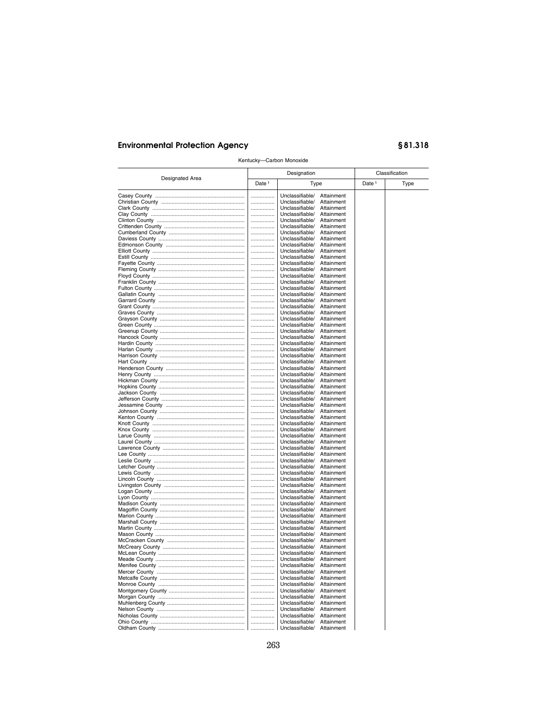| Kentucky-Carbon Monoxide |                   |                                    |                          |                   |      |  |
|--------------------------|-------------------|------------------------------------|--------------------------|-------------------|------|--|
| Designated Area          |                   | Designation                        |                          | Classification    |      |  |
|                          | Date <sup>1</sup> | Type                               |                          | Date <sup>1</sup> | Type |  |
|                          | .                 | Unclassifiable/                    | Attainment               |                   |      |  |
|                          | .                 | Unclassifiable/                    | Attainment               |                   |      |  |
|                          |                   | Unclassifiable/                    | Attainment               |                   |      |  |
|                          | .                 | Unclassifiable/                    | Attainment               |                   |      |  |
|                          | .                 | Unclassifiable/<br>Unclassifiable/ | Attainment<br>Attainment |                   |      |  |
|                          | .<br>.            | Unclassifiable/                    | Attainment               |                   |      |  |
|                          |                   | Unclassifiable/                    | Attainment               |                   |      |  |
|                          | .                 | Unclassifiable/                    | Attainment               |                   |      |  |
|                          | .                 | Unclassifiable/                    | Attainment               |                   |      |  |
|                          | .                 | Unclassifiable/                    | Attainment               |                   |      |  |
|                          | .                 | Unclassifiable/                    | Attainment               |                   |      |  |
|                          |                   | Unclassifiable/                    | Attainment               |                   |      |  |
|                          | .                 | Unclassifiable/                    | Attainment               |                   |      |  |
|                          |                   | Unclassifiable/<br>Unclassifiable/ | Attainment               |                   |      |  |
|                          | .<br>.            | Unclassifiable/                    | Attainment<br>Attainment |                   |      |  |
|                          |                   | Unclassifiable/                    | Attainment               |                   |      |  |
|                          | .                 | Unclassifiable/                    | Attainment               |                   |      |  |
|                          | .                 | Unclassifiable/                    | Attainment               |                   |      |  |
|                          | .                 | Unclassifiable/                    | Attainment               |                   |      |  |
|                          | .                 | Unclassifiable/                    | Attainment               |                   |      |  |
|                          |                   | Unclassifiable/                    | Attainment               |                   |      |  |
|                          |                   | Unclassifiable/                    | Attainment               |                   |      |  |
|                          |                   | Unclassifiable/<br>Unclassifiable/ | Attainment<br>Attainment |                   |      |  |
|                          | <br>.             | Unclassifiable/                    | Attainment               |                   |      |  |
|                          |                   | Unclassifiable/                    | Attainment               |                   |      |  |
|                          | .                 | Unclassifiable/                    | Attainment               |                   |      |  |
|                          | .                 | Unclassifiable/                    | Attainment               |                   |      |  |
|                          | .                 | Unclassifiable/                    | Attainment               |                   |      |  |
|                          | .                 | Unclassifiable/                    | Attainment               |                   |      |  |
|                          |                   | Unclassifiable/                    | Attainment               |                   |      |  |
|                          | .<br>.            | Unclassifiable/<br>Unclassifiable/ | Attainment<br>Attainment |                   |      |  |
|                          | .                 | Unclassifiable/                    | Attainment               |                   |      |  |
|                          | .                 | Unclassifiable/                    | Attainment               |                   |      |  |
|                          |                   | Unclassifiable/                    | Attainment               |                   |      |  |
|                          | .                 | Unclassifiable/                    | Attainment               |                   |      |  |
|                          | .                 | Unclassifiable/                    | Attainment               |                   |      |  |
|                          | .                 | Unclassifiable/                    | Attainment               |                   |      |  |
|                          | .                 | Unclassifiable/<br>Unclassifiable/ | Attainment<br>Attainment |                   |      |  |
|                          | <br>.             | Unclassifiable/                    | Attainment               |                   |      |  |
|                          | .                 | Unclassifiable/                    | Attainment               |                   |      |  |
|                          | .                 | Unclassifiable/                    | Attainment               |                   |      |  |
|                          | .                 | Unclassifiable/                    | Attainment               |                   |      |  |
|                          |                   | Unclassifiable/                    | Attainment               |                   |      |  |
|                          | .                 | Unclassifiable/                    | Attainment               |                   |      |  |
|                          | .                 | Unclassifiable/<br>Unclassifiable/ | Attainment               |                   |      |  |
|                          | .<br>.            | Unclassifiable/                    | Attainment<br>Attainment |                   |      |  |
|                          |                   | Unclassifiable/                    | Attainment               |                   |      |  |
|                          | .                 | Unclassifiable/                    | Attainment               |                   |      |  |
|                          | .                 | Unclassifiable/                    | Attainment               |                   |      |  |
|                          |                   | Unclassifiable/                    | Attainment               |                   |      |  |
|                          | .                 | Unclassifiable/                    | Attainment               |                   |      |  |
|                          | .                 | Unclassifiable/                    | Attainment               |                   |      |  |
|                          | .<br>.            | Unclassifiable/<br>Unclassifiable/ | Attainment<br>Attainment |                   |      |  |
|                          |                   | Unclassifiable/                    | Attainment               |                   |      |  |
|                          |                   | Unclassifiable/                    | Attainment               |                   |      |  |
|                          |                   | Unclassifiable/                    | Attainment               |                   |      |  |
|                          |                   | Unclassifiable/                    | Attainment               |                   |      |  |
|                          | .                 | Unclassifiable/                    | Attainment               |                   |      |  |
|                          | .                 | Unclassifiable/                    | Attainment               |                   |      |  |
|                          |                   | Unclassifiable/                    | Attainment               |                   |      |  |
|                          | .                 | Unclassifiable/                    | Attainment               |                   |      |  |
|                          | .                 | Unclassifiable/                    | Attainment               |                   |      |  |
|                          |                   | Unclassifiable/<br>Unclassifiable/ | Attainment<br>Attainment |                   |      |  |
|                          |                   |                                    |                          |                   |      |  |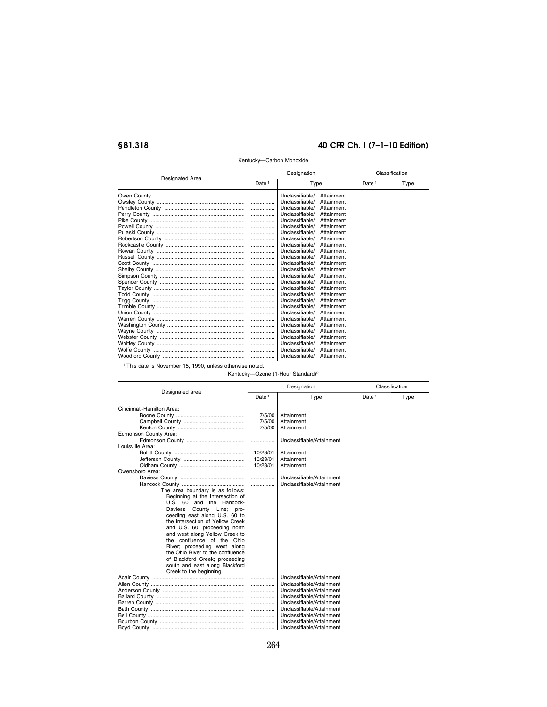| Designated Area | Designation       |                 |            | Classification    |      |  |
|-----------------|-------------------|-----------------|------------|-------------------|------|--|
|                 | Date <sup>1</sup> | Type            |            | Date <sup>1</sup> | Type |  |
|                 | .                 | Unclassifiable/ | Attainment |                   |      |  |
|                 | .                 | Unclassifiable/ | Attainment |                   |      |  |
|                 | .                 | Unclassifiable/ | Attainment |                   |      |  |
|                 | .                 | Unclassifiable/ | Attainment |                   |      |  |
|                 | .                 | Unclassifiable/ | Attainment |                   |      |  |
|                 | .                 | Unclassifiable/ | Attainment |                   |      |  |
|                 | .                 | Unclassifiable/ | Attainment |                   |      |  |
|                 | .                 | Unclassifiable/ | Attainment |                   |      |  |
|                 | .                 | Unclassifiable/ | Attainment |                   |      |  |
|                 | .                 | Unclassifiable/ | Attainment |                   |      |  |
|                 | .                 | Unclassifiable/ | Attainment |                   |      |  |
|                 | .                 | Unclassifiable/ | Attainment |                   |      |  |
|                 | .                 | Unclassifiable/ | Attainment |                   |      |  |
|                 | .                 | Unclassifiable/ | Attainment |                   |      |  |
|                 | .                 | Unclassifiable/ | Attainment |                   |      |  |
|                 | .                 | Unclassifiable/ | Attainment |                   |      |  |
|                 | .                 | Unclassifiable/ | Attainment |                   |      |  |
|                 | .                 | Unclassifiable/ | Attainment |                   |      |  |
|                 | .                 | Unclassifiable/ | Attainment |                   |      |  |
|                 | .                 | Unclassifiable/ | Attainment |                   |      |  |
|                 | .                 | Unclassifiable/ | Attainment |                   |      |  |
|                 | .                 | Unclassifiable/ | Attainment |                   |      |  |
|                 | .                 | Unclassifiable/ | Attainment |                   |      |  |
|                 | .                 | Unclassifiable/ | Attainment |                   |      |  |
|                 | .                 | Unclassifiable/ | Attainment |                   |      |  |
|                 | .                 | Unclassifiable/ | Attainment |                   |      |  |
|                 |                   | Unclassifiable/ | Attainment |                   |      |  |
|                 |                   |                 |            |                   |      |  |

#### Kentucky—Carbon Monoxide

1This date is November 15, 1990, unless otherwise noted.

Kentucky—Ozone (1-Hour Standard)2

|                                  |                   | Designation               |                   | Classification |
|----------------------------------|-------------------|---------------------------|-------------------|----------------|
| Designated area                  | Date <sup>1</sup> | Type                      | Date <sup>1</sup> | Type           |
| Cincinnati-Hamilton Area:        |                   |                           |                   |                |
|                                  | 7/5/00            | Attainment                |                   |                |
|                                  | 7/5/00            | Attainment                |                   |                |
|                                  | 7/5/00            | Attainment                |                   |                |
| Edmonson County Area:            |                   |                           |                   |                |
|                                  | .                 | Unclassifiable/Attainment |                   |                |
| Louisville Area:                 |                   |                           |                   |                |
|                                  | 10/23/01          | Attainment                |                   |                |
|                                  | 10/23/01          | Attainment                |                   |                |
|                                  | 10/23/01          | Attainment                |                   |                |
| Owensboro Area:                  |                   |                           |                   |                |
|                                  | .                 | Unclassifiable/Attainment |                   |                |
|                                  | .                 | Unclassifiable/Attainment |                   |                |
| The area boundary is as follows: |                   |                           |                   |                |
| Beginning at the Intersection of |                   |                           |                   |                |
| U.S. 60 and the Hancock-         |                   |                           |                   |                |
| Daviess County Line; pro-        |                   |                           |                   |                |
| ceeding east along U.S. 60 to    |                   |                           |                   |                |
| the intersection of Yellow Creek |                   |                           |                   |                |
| and U.S. 60; proceeding north    |                   |                           |                   |                |
| and west along Yellow Creek to   |                   |                           |                   |                |
| the confluence of the Ohio       |                   |                           |                   |                |
| River; proceeding west along     |                   |                           |                   |                |
| the Ohio River to the confluence |                   |                           |                   |                |
| of Blackford Creek; proceeding   |                   |                           |                   |                |
| south and east along Blackford   |                   |                           |                   |                |
| Creek to the beginning.          |                   |                           |                   |                |
|                                  | .                 | Unclassifiable/Attainment |                   |                |
|                                  | .                 | Unclassifiable/Attainment |                   |                |
|                                  | .                 | Unclassifiable/Attainment |                   |                |
|                                  | .                 | Unclassifiable/Attainment |                   |                |
|                                  | .                 | Unclassifiable/Attainment |                   |                |
|                                  | .                 | Unclassifiable/Attainment |                   |                |
|                                  | .                 | Unclassifiable/Attainment |                   |                |
|                                  | .                 | Unclassifiable/Attainment |                   |                |
|                                  |                   | Unclassifiable/Attainment |                   |                |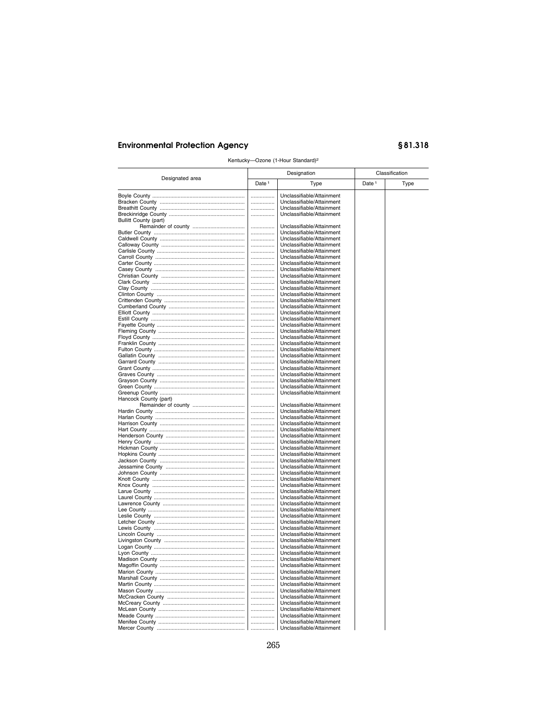| Kentucky-Ozone (1-Hour Standard) <sup>2</sup> |                   |                                                        |                   |      |  |  |  |
|-----------------------------------------------|-------------------|--------------------------------------------------------|-------------------|------|--|--|--|
| Designated area                               |                   | Designation                                            | Classification    |      |  |  |  |
|                                               | Date <sup>1</sup> | Type                                                   | Date <sup>1</sup> | Type |  |  |  |
|                                               |                   | Unclassifiable/Attainment                              |                   |      |  |  |  |
|                                               | .                 | Unclassifiable/Attainment                              |                   |      |  |  |  |
|                                               |                   | Unclassifiable/Attainment                              |                   |      |  |  |  |
|                                               | .                 | Unclassifiable/Attainment                              |                   |      |  |  |  |
| Bullitt County (part)                         |                   |                                                        |                   |      |  |  |  |
|                                               |                   | Unclassifiable/Attainment                              |                   |      |  |  |  |
|                                               |                   | Unclassifiable/Attainment                              |                   |      |  |  |  |
|                                               |                   | Unclassifiable/Attainment                              |                   |      |  |  |  |
|                                               | .                 | Unclassifiable/Attainment                              |                   |      |  |  |  |
|                                               |                   | Unclassifiable/Attainment                              |                   |      |  |  |  |
|                                               |                   | Unclassifiable/Attainment                              |                   |      |  |  |  |
|                                               | .                 | Unclassifiable/Attainment                              |                   |      |  |  |  |
|                                               |                   | Unclassifiable/Attainment                              |                   |      |  |  |  |
|                                               | .                 | Unclassifiable/Attainment                              |                   |      |  |  |  |
|                                               | .                 | Unclassifiable/Attainment                              |                   |      |  |  |  |
|                                               |                   | Unclassifiable/Attainment                              |                   |      |  |  |  |
|                                               |                   | Unclassifiable/Attainment                              |                   |      |  |  |  |
|                                               | .                 | Unclassifiable/Attainment                              |                   |      |  |  |  |
|                                               | .                 | Unclassifiable/Attainment                              |                   |      |  |  |  |
|                                               |                   | Unclassifiable/Attainment                              |                   |      |  |  |  |
|                                               |                   | Unclassifiable/Attainment                              |                   |      |  |  |  |
|                                               | .                 | Unclassifiable/Attainment                              |                   |      |  |  |  |
|                                               | .                 | Unclassifiable/Attainment<br>Unclassifiable/Attainment |                   |      |  |  |  |
|                                               | .<br>.            | Unclassifiable/Attainment                              |                   |      |  |  |  |
|                                               |                   | Unclassifiable/Attainment                              |                   |      |  |  |  |
|                                               |                   | Unclassifiable/Attainment                              |                   |      |  |  |  |
|                                               | .<br>.            | Unclassifiable/Attainment                              |                   |      |  |  |  |
|                                               | .                 | Unclassifiable/Attainment                              |                   |      |  |  |  |
|                                               |                   | Unclassifiable/Attainment                              |                   |      |  |  |  |
|                                               |                   | Unclassifiable/Attainment                              |                   |      |  |  |  |
|                                               | .                 | Unclassifiable/Attainment                              |                   |      |  |  |  |
|                                               |                   | Unclassifiable/Attainment                              |                   |      |  |  |  |
| Hancock County (part)                         |                   |                                                        |                   |      |  |  |  |
|                                               | .                 | Unclassifiable/Attainment                              |                   |      |  |  |  |
|                                               |                   | Unclassifiable/Attainment                              |                   |      |  |  |  |
|                                               |                   | Unclassifiable/Attainment                              |                   |      |  |  |  |
|                                               | .                 | Unclassifiable/Attainment                              |                   |      |  |  |  |
|                                               | .                 | Unclassifiable/Attainment                              |                   |      |  |  |  |
|                                               |                   | Unclassifiable/Attainment                              |                   |      |  |  |  |
|                                               |                   | Unclassifiable/Attainment                              |                   |      |  |  |  |
|                                               |                   | Unclassifiable/Attainment                              |                   |      |  |  |  |
|                                               |                   | Unclassifiable/Attainment                              |                   |      |  |  |  |
|                                               | .                 | Unclassifiable/Attainment                              |                   |      |  |  |  |
|                                               | .                 | Unclassifiable/Attainment                              |                   |      |  |  |  |
|                                               |                   | Unclassifiable/Attainment                              |                   |      |  |  |  |
|                                               | .                 | Unclassifiable/Attainment                              |                   |      |  |  |  |
|                                               |                   | Unclassifiable/Attainment                              |                   |      |  |  |  |
|                                               | .                 | Unclassifiable/Attainment<br>Unclassifiable/Attainment |                   |      |  |  |  |
|                                               | <br>              | Unclassifiable/Attainment                              |                   |      |  |  |  |
|                                               | .                 | Unclassifiable/Attainment                              |                   |      |  |  |  |
|                                               |                   | Unclassifiable/Attainment                              |                   |      |  |  |  |
|                                               | .                 | Unclassifiable/Attainment                              |                   |      |  |  |  |
|                                               | .                 | Unclassifiable/Attainment                              |                   |      |  |  |  |
|                                               |                   | Unclassifiable/Attainment                              |                   |      |  |  |  |
|                                               | .                 | Unclassifiable/Attainment                              |                   |      |  |  |  |
|                                               |                   | Unclassifiable/Attainment                              |                   |      |  |  |  |
|                                               |                   | Unclassifiable/Attainment                              |                   |      |  |  |  |
|                                               | .                 | Unclassifiable/Attainment                              |                   |      |  |  |  |
|                                               |                   | Unclassifiable/Attainment                              |                   |      |  |  |  |
|                                               | .                 | Unclassifiable/Attainment                              |                   |      |  |  |  |
|                                               | .                 | Unclassifiable/Attainment                              |                   |      |  |  |  |
|                                               | .                 | Unclassifiable/Attainment                              |                   |      |  |  |  |
|                                               | .                 | Unclassifiable/Attainment                              |                   |      |  |  |  |
|                                               | .                 | Unclassifiable/Attainment                              |                   |      |  |  |  |
|                                               | .                 | Unclassifiable/Attainment                              |                   |      |  |  |  |
|                                               | .                 | Unclassifiable/Attainment                              |                   |      |  |  |  |
|                                               | .                 | Unclassifiable/Attainment                              |                   |      |  |  |  |
|                                               | .                 | Unclassifiable/Attainment                              |                   |      |  |  |  |
|                                               | .                 | Unclassifiable/Attainment                              |                   |      |  |  |  |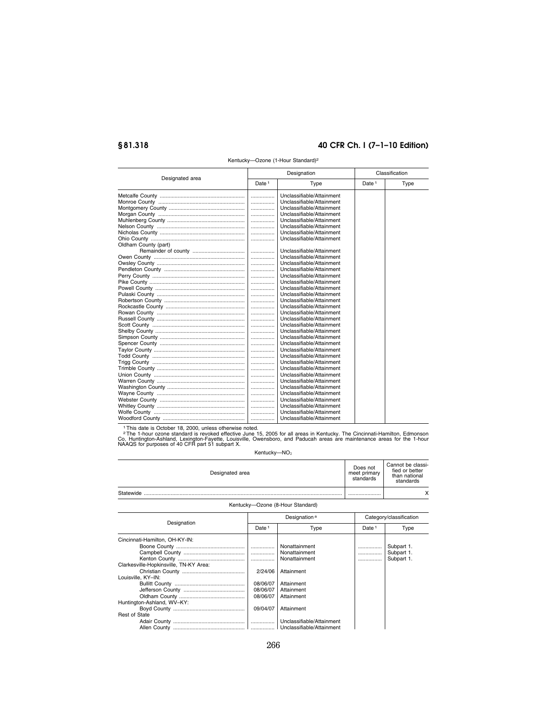| Designated area      | Designation                   |                           | Classification    |      |
|----------------------|-------------------------------|---------------------------|-------------------|------|
|                      | Date <sup>1</sup>             | Type                      | Date <sup>1</sup> | Type |
|                      | .                             | Unclassifiable/Attainment |                   |      |
|                      | .                             | Unclassifiable/Attainment |                   |      |
|                      | .                             | Unclassifiable/Attainment |                   |      |
|                      | .                             | Unclassifiable/Attainment |                   |      |
|                      | .                             | Unclassifiable/Attainment |                   |      |
|                      | .                             | Unclassifiable/Attainment |                   |      |
|                      | .                             | Unclassifiable/Attainment |                   |      |
|                      | .                             | Unclassifiable/Attainment |                   |      |
| Oldham County (part) |                               |                           |                   |      |
|                      | $\ldots \ldots \ldots \ldots$ | Unclassifiable/Attainment |                   |      |
|                      | .                             | Unclassifiable/Attainment |                   |      |
|                      | .                             | Unclassifiable/Attainment |                   |      |
|                      | .                             | Unclassifiable/Attainment |                   |      |
|                      | .                             | Unclassifiable/Attainment |                   |      |
|                      | .                             | Unclassifiable/Attainment |                   |      |
|                      | .                             | Unclassifiable/Attainment |                   |      |
|                      | .                             | Unclassifiable/Attainment |                   |      |
|                      | .                             | Unclassifiable/Attainment |                   |      |
|                      | .                             | Unclassifiable/Attainment |                   |      |
|                      | .                             | Unclassifiable/Attainment |                   |      |
|                      | .                             | Unclassifiable/Attainment |                   |      |
|                      | .                             | Unclassifiable/Attainment |                   |      |
|                      | .                             | Unclassifiable/Attainment |                   |      |
|                      | .                             | Unclassifiable/Attainment |                   |      |
|                      | .                             | Unclassifiable/Attainment |                   |      |
|                      | .                             | Unclassifiable/Attainment |                   |      |
|                      | .                             | Unclassifiable/Attainment |                   |      |
|                      | .                             | Unclassifiable/Attainment |                   |      |
|                      | .                             | Unclassifiable/Attainment |                   |      |
|                      | .                             | Unclassifiable/Attainment |                   |      |
|                      | .                             | Unclassifiable/Attainment |                   |      |
|                      | .                             | Unclassifiable/Attainment |                   |      |
|                      | .                             | Unclassifiable/Attainment |                   |      |
|                      | .                             | Unclassifiable/Attainment |                   |      |
|                      | .                             | Unclassifiable/Attainment |                   |      |
|                      | .                             | Unclassifiable/Attainment |                   |      |
|                      | .                             | Unclassifiable/Attainment |                   |      |

Kentucky—Ozone (1-Hour Standard)2

<sup>1</sup> This date is October 18, 2000, unless otherwise noted.<br><sup>2</sup> The 1-hour ozone standard is revoked effective June 15, 2005 for all areas in Kentucky. The Cincinnati-Hamilton, Edmonson<br>Co, Huntington-Ashland, Lexington-Fay

Kentucky- $NO<sub>2</sub>$ 

| Designated area | Does not<br>meet primary<br>standards | Cannot be classi-<br>fied or better<br>than national<br>standards |
|-----------------|---------------------------------------|-------------------------------------------------------------------|
| Statewide       |                                       | $\checkmark$                                                      |

#### Kentucky—Ozone (8-Hour Standard)

| Designation                            |                   | Designation <sup>a</sup>  |                   | Category/classification |  |
|----------------------------------------|-------------------|---------------------------|-------------------|-------------------------|--|
|                                        | Date <sup>1</sup> | Type                      | Date <sup>1</sup> | Type                    |  |
| Cincinnati-Hamilton, OH-KY-IN:         |                   |                           |                   |                         |  |
|                                        |                   | Nonattainment             |                   | Subpart 1.              |  |
|                                        |                   | Nonattainment             |                   | Subpart 1.              |  |
|                                        | .                 | Nonattainment             |                   | Subpart 1.              |  |
| Clarkesville-Hopkinsville, TN-KY Area: |                   |                           |                   |                         |  |
|                                        | 2/24/06           | Attainment                |                   |                         |  |
| Louisville, KY-IN:                     |                   |                           |                   |                         |  |
|                                        | 08/06/07          | Attainment                |                   |                         |  |
|                                        | 08/06/07          | Attainment                |                   |                         |  |
|                                        | 08/06/07          | Attainment                |                   |                         |  |
| Huntington-Ashland, WV-KY:             |                   |                           |                   |                         |  |
|                                        | 09/04/07          | Attainment                |                   |                         |  |
| <b>Rest of State</b>                   |                   |                           |                   |                         |  |
|                                        |                   | Unclassifiable/Attainment |                   |                         |  |
|                                        |                   | Unclassifiable/Attainment |                   |                         |  |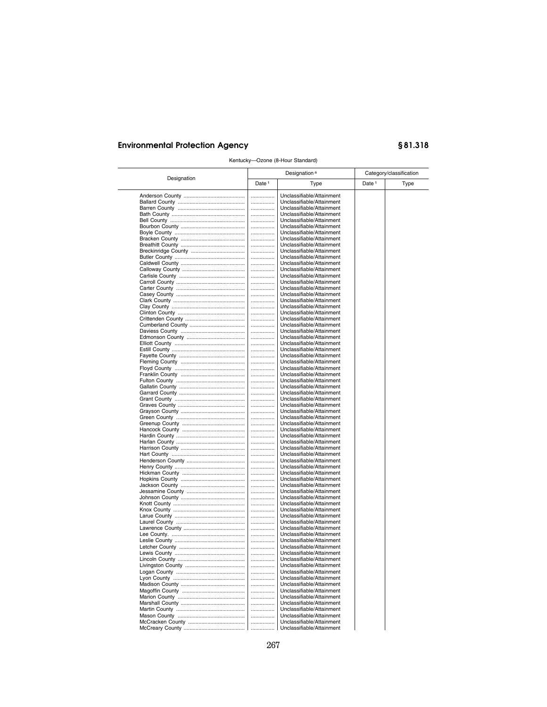|             |                   | Designation <sup>a</sup>  |                   | Category/classification |
|-------------|-------------------|---------------------------|-------------------|-------------------------|
| Designation | Date <sup>1</sup> | Type                      | Date <sup>1</sup> | Type                    |
|             | .                 | Unclassifiable/Attainment |                   |                         |
|             | .                 | Unclassifiable/Attainment |                   |                         |
|             | .                 | Unclassifiable/Attainment |                   |                         |
|             | .                 | Unclassifiable/Attainment |                   |                         |
|             |                   |                           |                   |                         |
|             | .                 | Unclassifiable/Attainment |                   |                         |
|             | .                 | Unclassifiable/Attainment |                   |                         |
|             | .                 | Unclassifiable/Attainment |                   |                         |
|             |                   | Unclassifiable/Attainment |                   |                         |
|             | .                 | Unclassifiable/Attainment |                   |                         |
|             | .                 | Unclassifiable/Attainment |                   |                         |
|             | .                 | Unclassifiable/Attainment |                   |                         |
|             | .                 | Unclassifiable/Attainment |                   |                         |
|             | .                 | Unclassifiable/Attainment |                   |                         |
|             | .                 | Unclassifiable/Attainment |                   |                         |
|             |                   |                           |                   |                         |
|             |                   | Unclassifiable/Attainment |                   |                         |
|             | .                 | Unclassifiable/Attainment |                   |                         |
|             | .                 | Unclassifiable/Attainment |                   |                         |
|             |                   | Unclassifiable/Attainment |                   |                         |
|             | .                 | Unclassifiable/Attainment |                   |                         |
|             | .                 | Unclassifiable/Attainment |                   |                         |
|             | .                 | Unclassifiable/Attainment |                   |                         |
|             |                   | Unclassifiable/Attainment |                   |                         |
|             | .                 |                           |                   |                         |
|             | .                 | Unclassifiable/Attainment |                   |                         |
|             | .                 | Unclassifiable/Attainment |                   |                         |
|             | .                 | Unclassifiable/Attainment |                   |                         |
|             | .                 | Unclassifiable/Attainment |                   |                         |
|             | .                 | Unclassifiable/Attainment |                   |                         |
|             |                   | Unclassifiable/Attainment |                   |                         |
|             | .                 | Unclassifiable/Attainment |                   |                         |
|             | .                 | Unclassifiable/Attainment |                   |                         |
|             |                   |                           |                   |                         |
|             | .                 | Unclassifiable/Attainment |                   |                         |
|             | .                 | Unclassifiable/Attainment |                   |                         |
|             | .                 | Unclassifiable/Attainment |                   |                         |
|             | .                 | Unclassifiable/Attainment |                   |                         |
|             | .                 | Unclassifiable/Attainment |                   |                         |
|             | .                 | Unclassifiable/Attainment |                   |                         |
|             | .                 | Unclassifiable/Attainment |                   |                         |
|             |                   | Unclassifiable/Attainment |                   |                         |
|             | .                 | Unclassifiable/Attainment |                   |                         |
|             | .                 | Unclassifiable/Attainment |                   |                         |
|             | .                 | Unclassifiable/Attainment |                   |                         |
|             |                   |                           |                   |                         |
|             | .                 | Unclassifiable/Attainment |                   |                         |
|             | .                 | Unclassifiable/Attainment |                   |                         |
|             | .                 | Unclassifiable/Attainment |                   |                         |
|             | .                 | Unclassifiable/Attainment |                   |                         |
|             | .                 | Unclassifiable/Attainment |                   |                         |
|             | .                 | Unclassifiable/Attainment |                   |                         |
|             |                   | Unclassifiable/Attainment |                   |                         |
|             | .                 | Unclassifiable/Attainment |                   |                         |
|             | .                 | Unclassifiable/Attainment |                   |                         |
|             |                   |                           |                   |                         |
|             | .                 | Unclassifiable/Attainment |                   |                         |
|             | .                 | Unclassifiable/Attainment |                   |                         |
|             | .                 | Unclassifiable/Attainment |                   |                         |
|             | .                 | Unclassifiable/Attainment |                   |                         |
|             |                   | Unclassifiable/Attainment |                   |                         |
|             | .                 | Unclassifiable/Attainment |                   |                         |
|             | .                 | Unclassifiable/Attainment |                   |                         |
|             |                   | Unclassifiable/Attainment |                   |                         |
|             |                   | Unclassifiable/Attainment |                   |                         |
|             | .                 |                           |                   |                         |
|             | .                 | Unclassifiable/Attainment |                   |                         |
|             |                   | Unclassifiable/Attainment |                   |                         |
|             | .                 | Unclassifiable/Attainment |                   |                         |
|             | .                 | Unclassifiable/Attainment |                   |                         |
|             |                   | Unclassifiable/Attainment |                   |                         |
|             | .                 | Unclassifiable/Attainment |                   |                         |
|             | .                 | Unclassifiable/Attainment |                   |                         |
|             |                   |                           |                   |                         |
|             |                   | Unclassifiable/Attainment |                   |                         |
|             | .                 | Unclassifiable/Attainment |                   |                         |
|             | .                 | Unclassifiable/Attainment |                   |                         |
|             |                   | Unclassifiable/Attainment |                   |                         |
|             | .                 | Unclassifiable/Attainment |                   |                         |
|             |                   |                           |                   |                         |

Kentucky—Ozone (8-Hour Standard)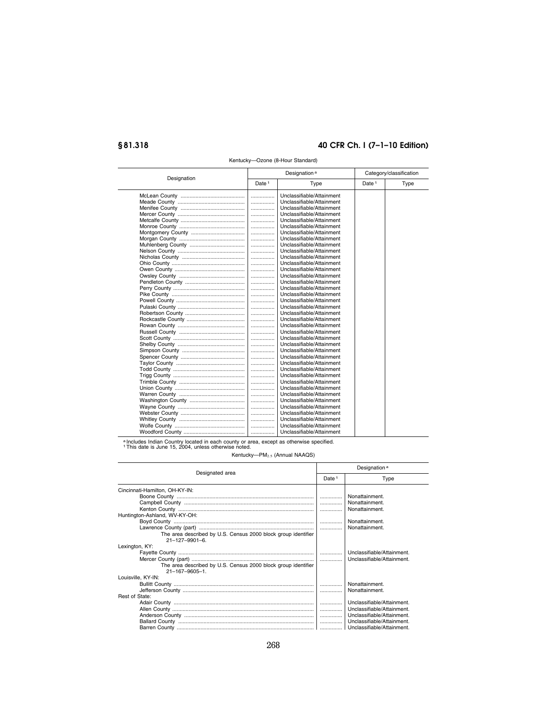|             | Designation <sup>a</sup> |                           | Category/classification |      |
|-------------|--------------------------|---------------------------|-------------------------|------|
| Designation | Date <sup>1</sup>        | Type                      | Date <sup>1</sup>       | Type |
|             | .                        | Unclassifiable/Attainment |                         |      |
|             |                          | Unclassifiable/Attainment |                         |      |
|             | .                        | Unclassifiable/Attainment |                         |      |
|             | .                        | Unclassifiable/Attainment |                         |      |
|             | .                        | Unclassifiable/Attainment |                         |      |
|             |                          | Unclassifiable/Attainment |                         |      |
|             | .                        | Unclassifiable/Attainment |                         |      |
|             |                          | Unclassifiable/Attainment |                         |      |
|             | .                        | Unclassifiable/Attainment |                         |      |
|             | .                        | Unclassifiable/Attainment |                         |      |
|             | .                        | Unclassifiable/Attainment |                         |      |
|             | .                        | Unclassifiable/Attainment |                         |      |
|             | .                        | Unclassifiable/Attainment |                         |      |
|             |                          | Unclassifiable/Attainment |                         |      |
|             | .                        | Unclassifiable/Attainment |                         |      |
|             | .                        | Unclassifiable/Attainment |                         |      |
|             | .                        | Unclassifiable/Attainment |                         |      |
|             |                          | Unclassifiable/Attainment |                         |      |
|             | .                        | Unclassifiable/Attainment |                         |      |
|             | .                        | Unclassifiable/Attainment |                         |      |
|             | .                        | Unclassifiable/Attainment |                         |      |
|             | .                        | Unclassifiable/Attainment |                         |      |
|             | .                        | Unclassifiable/Attainment |                         |      |
|             | .                        | Unclassifiable/Attainment |                         |      |
|             | .                        | Unclassifiable/Attainment |                         |      |
|             |                          | Unclassifiable/Attainment |                         |      |
|             |                          | Unclassifiable/Attainment |                         |      |
|             |                          | Unclassifiable/Attainment |                         |      |
|             | .                        | Unclassifiable/Attainment |                         |      |
|             | .                        | Unclassifiable/Attainment |                         |      |
|             | .                        | Unclassifiable/Attainment |                         |      |
|             | .                        | Unclassifiable/Attainment |                         |      |
|             | .                        | Unclassifiable/Attainment |                         |      |
|             |                          | Unclassifiable/Attainment |                         |      |
|             | .                        | Unclassifiable/Attainment |                         |      |
|             | .                        | Unclassifiable/Attainment |                         |      |
|             |                          | Unclassifiable/Attainment |                         |      |
|             |                          | Unclassifiable/Attainment |                         |      |
|             |                          |                           |                         |      |
|             | .                        | Unclassifiable/Attainment |                         |      |

#### Kentucky—Ozone (8-Hour Standard)

a Includes Indian Country located in each county or area, except as otherwise specified. 1This date is June 15, 2004, unless otherwise noted.

Kentucky-PM<sub>2.5</sub> (Annual NAAQS)

| Designated area                                               |   | Designation <sup>a</sup>   |  |  |
|---------------------------------------------------------------|---|----------------------------|--|--|
|                                                               |   | Type                       |  |  |
| Cincinnati-Hamilton, OH-KY-IN:                                |   |                            |  |  |
|                                                               |   | Nonattainment.             |  |  |
|                                                               |   | Nonattainment.             |  |  |
|                                                               | . | Nonattainment.             |  |  |
| Huntington-Ashland, WV-KY-OH:                                 |   |                            |  |  |
|                                                               |   | Nonattainment.             |  |  |
|                                                               |   | Nonattainment.             |  |  |
| The area described by U.S. Census 2000 block group identifier |   |                            |  |  |
| $21 - 127 - 9901 - 6$ .                                       |   |                            |  |  |
| Lexington, KY:                                                |   |                            |  |  |
|                                                               |   | Unclassifiable/Attainment. |  |  |
|                                                               |   | Unclassifiable/Attainment. |  |  |
| The area described by U.S. Census 2000 block group identifier |   |                            |  |  |
| 21-167-9605-1                                                 |   |                            |  |  |
| Louisville, KY-IN:                                            |   |                            |  |  |
|                                                               |   | Nonattainment.             |  |  |
|                                                               | . | Nonattainment.             |  |  |
| Rest of State:                                                |   |                            |  |  |
|                                                               |   | Unclassifiable/Attainment. |  |  |
|                                                               | . | Unclassifiable/Attainment. |  |  |
|                                                               |   | Unclassifiable/Attainment. |  |  |
|                                                               |   | Unclassifiable/Attainment. |  |  |
|                                                               |   |                            |  |  |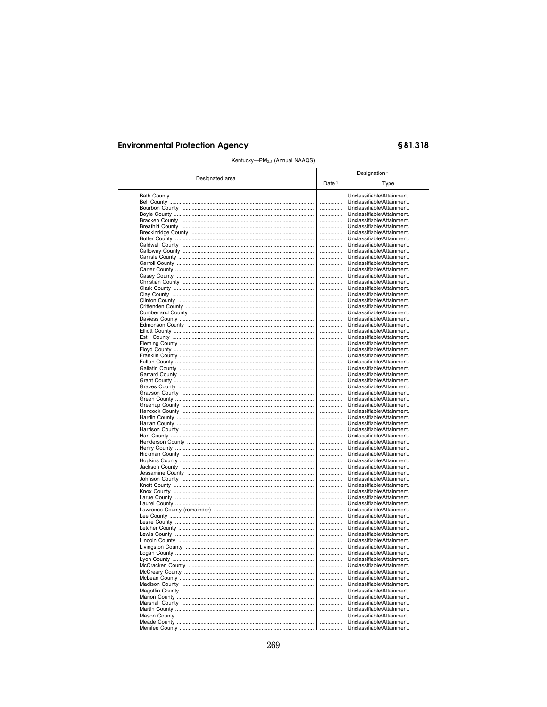# §81.318

| Designated area |                   | Designation <sup>a</sup>                                 |  |  |
|-----------------|-------------------|----------------------------------------------------------|--|--|
|                 | Date <sup>1</sup> | Type                                                     |  |  |
|                 |                   | Unclassifiable/Attainment.                               |  |  |
|                 | .                 | Unclassifiable/Attainment.                               |  |  |
|                 |                   | Unclassifiable/Attainment.                               |  |  |
|                 |                   | Unclassifiable/Attainment.                               |  |  |
|                 |                   | Unclassifiable/Attainment.                               |  |  |
|                 |                   | Unclassifiable/Attainment.                               |  |  |
|                 |                   | Unclassifiable/Attainment.                               |  |  |
|                 |                   | Unclassifiable/Attainment.                               |  |  |
|                 | .                 | Unclassifiable/Attainment.<br>Unclassifiable/Attainment. |  |  |
|                 | <br>              | Unclassifiable/Attainment.                               |  |  |
|                 |                   | Unclassifiable/Attainment.                               |  |  |
|                 |                   | Unclassifiable/Attainment.                               |  |  |
|                 |                   | Unclassifiable/Attainment.                               |  |  |
|                 |                   | Unclassifiable/Attainment.                               |  |  |
|                 |                   | Unclassifiable/Attainment.                               |  |  |
|                 | .                 | Unclassifiable/Attainment.                               |  |  |
|                 |                   | Unclassifiable/Attainment.                               |  |  |
|                 |                   | Unclassifiable/Attainment.                               |  |  |
|                 |                   | Unclassifiable/Attainment.                               |  |  |
|                 |                   | Unclassifiable/Attainment.                               |  |  |
|                 |                   | Unclassifiable/Attainment.                               |  |  |
|                 |                   | Unclassifiable/Attainment.                               |  |  |
|                 |                   | Unclassifiable/Attainment.                               |  |  |
|                 |                   | Unclassifiable/Attainment.                               |  |  |
|                 |                   | Unclassifiable/Attainment.                               |  |  |
|                 | <br>              | Unclassifiable/Attainment.<br>Unclassifiable/Attainment. |  |  |
|                 | .                 | Unclassifiable/Attainment.                               |  |  |
|                 |                   | Unclassifiable/Attainment.                               |  |  |
|                 |                   | Unclassifiable/Attainment.                               |  |  |
|                 |                   | Unclassifiable/Attainment.                               |  |  |
|                 |                   | Unclassifiable/Attainment.                               |  |  |
|                 |                   | Unclassifiable/Attainment.                               |  |  |
|                 |                   | Unclassifiable/Attainment.                               |  |  |
|                 |                   | Unclassifiable/Attainment.                               |  |  |
|                 | .                 | Unclassifiable/Attainment.                               |  |  |
|                 |                   | Unclassifiable/Attainment.                               |  |  |
|                 |                   | Unclassifiable/Attainment.                               |  |  |
|                 |                   | Unclassifiable/Attainment.                               |  |  |
|                 |                   | Unclassifiable/Attainment.                               |  |  |
|                 |                   | Unclassifiable/Attainment.                               |  |  |
|                 | <br>              | Unclassifiable/Attainment.<br>Unclassifiable/Attainment. |  |  |
|                 |                   | Unclassifiable/Attainment.                               |  |  |
|                 |                   | Unclassifiable/Attainment.                               |  |  |
|                 |                   | Unclassifiable/Attainment.                               |  |  |
|                 |                   | Unclassifiable/Attainment.                               |  |  |
|                 |                   | Unclassifiable/Attainment.                               |  |  |
|                 |                   | Unclassifiable/Attainment.                               |  |  |
|                 | .                 | Unclassifiable/Attainment.                               |  |  |
|                 |                   | Unclassifiable/Attainment.                               |  |  |
|                 |                   | Unclassifiable/Attainment.                               |  |  |
|                 |                   | Unclassifiable/Attainment.                               |  |  |
|                 |                   | Unclassifiable/Attainment.                               |  |  |
|                 |                   | Unclassifiable/Attainment.                               |  |  |
|                 | .                 | Unclassifiable/Attainment.                               |  |  |
|                 | .                 | Unclassifiable/Attainment.                               |  |  |
|                 |                   | Unclassifiable/Attainment.                               |  |  |
|                 | <br>              | Unclassifiable/Attainment.<br>Unclassifiable/Attainment. |  |  |
|                 | .                 | Unclassifiable/Attainment.                               |  |  |
|                 | .                 | Unclassifiable/Attainment.                               |  |  |
|                 |                   | Unclassifiable/Attainment.                               |  |  |
|                 |                   | Unclassifiable/Attainment.                               |  |  |
|                 | .                 | Unclassifiable/Attainment.                               |  |  |
|                 |                   | Unclassifiable/Attainment.                               |  |  |
|                 |                   | Unclassifiable/Attainment.                               |  |  |
|                 |                   | Unclassifiable/Attainment.                               |  |  |
|                 |                   | Unclassifiable/Attainment.                               |  |  |
|                 |                   |                                                          |  |  |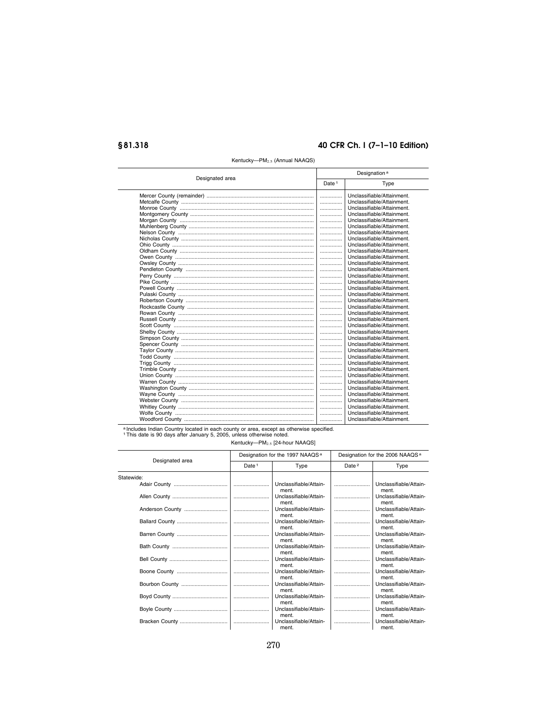|                 |                   | Designation <sup>a</sup>   |  |  |  |
|-----------------|-------------------|----------------------------|--|--|--|
| Designated area | Date <sup>1</sup> | Type                       |  |  |  |
|                 | .                 | Unclassifiable/Attainment. |  |  |  |
|                 | .                 | Unclassifiable/Attainment. |  |  |  |
|                 | .                 | Unclassifiable/Attainment. |  |  |  |
|                 | .                 | Unclassifiable/Attainment. |  |  |  |
|                 | .                 | Unclassifiable/Attainment. |  |  |  |
|                 | .                 | Unclassifiable/Attainment. |  |  |  |
|                 | .                 | Unclassifiable/Attainment. |  |  |  |
|                 | .                 | Unclassifiable/Attainment. |  |  |  |
|                 | .                 | Unclassifiable/Attainment. |  |  |  |
|                 | .                 | Unclassifiable/Attainment. |  |  |  |
|                 | .                 | Unclassifiable/Attainment. |  |  |  |
|                 | .                 | Unclassifiable/Attainment. |  |  |  |
|                 | .                 | Unclassifiable/Attainment. |  |  |  |
|                 | .                 | Unclassifiable/Attainment. |  |  |  |
|                 | .                 | Unclassifiable/Attainment. |  |  |  |
|                 | .                 | Unclassifiable/Attainment. |  |  |  |
|                 | .                 | Unclassifiable/Attainment. |  |  |  |
|                 | .                 | Unclassifiable/Attainment. |  |  |  |
|                 | .                 | Unclassifiable/Attainment. |  |  |  |
|                 | .                 | Unclassifiable/Attainment. |  |  |  |
|                 | .                 | Unclassifiable/Attainment. |  |  |  |
|                 | .                 | Unclassifiable/Attainment. |  |  |  |
|                 | .                 | Unclassifiable/Attainment. |  |  |  |
|                 | .                 | Unclassifiable/Attainment. |  |  |  |
|                 | .                 | Unclassifiable/Attainment. |  |  |  |
|                 | .                 | Unclassifiable/Attainment. |  |  |  |
|                 | .                 | Unclassifiable/Attainment. |  |  |  |
|                 | .                 | Unclassifiable/Attainment. |  |  |  |
|                 | .                 | Unclassifiable/Attainment. |  |  |  |
|                 | .                 | Unclassifiable/Attainment. |  |  |  |
|                 | .                 | Unclassifiable/Attainment. |  |  |  |
|                 | .                 | Unclassifiable/Attainment. |  |  |  |
|                 | .                 | Unclassifiable/Attainment. |  |  |  |
|                 | .                 | Unclassifiable/Attainment. |  |  |  |
|                 | .                 | Unclassifiable/Attainment. |  |  |  |
|                 | .                 | Unclassifiable/Attainment. |  |  |  |
|                 | .                 | Unclassifiable/Attainment. |  |  |  |

a Includes Indian Country located in each county or area, except as otherwise specified.<br>1 This date is 90 days after January 5, 2005, unless otherwise noted.

Kentucky-PM<sub>2.5</sub> [24-hour NAAQS]

| Designated area |                   | Designation for the 1997 NAAQS <sup>a</sup> |                   | Designation for the 2006 NAAQS <sup>a</sup> |  |
|-----------------|-------------------|---------------------------------------------|-------------------|---------------------------------------------|--|
|                 | Date <sup>1</sup> | Type                                        | Date <sup>2</sup> | Type                                        |  |
| Statewide:      |                   |                                             |                   |                                             |  |
|                 |                   | Unclassifiable/Attain-<br>ment.             |                   | Unclassifiable/Attain-<br>ment.             |  |
|                 |                   | Unclassifiable/Attain-<br>ment.             |                   | Unclassifiable/Attain-<br>ment.             |  |
|                 |                   | Unclassifiable/Attain-<br>ment.             |                   | Unclassifiable/Attain-<br>ment.             |  |
|                 |                   | Unclassifiable/Attain-<br>ment.             |                   | Unclassifiable/Attain-<br>ment.             |  |
|                 |                   | Unclassifiable/Attain-<br>ment.             |                   | Unclassifiable/Attain-<br>ment.             |  |
|                 |                   | Unclassifiable/Attain-<br>ment.             |                   | Unclassifiable/Attain-<br>ment.             |  |
|                 |                   | Unclassifiable/Attain-<br>ment.             |                   | Unclassifiable/Attain-<br>ment.             |  |
|                 |                   | Unclassifiable/Attain-<br>ment.             |                   | Unclassifiable/Attain-<br>ment.             |  |
|                 |                   | Unclassifiable/Attain-<br>ment.             |                   | Unclassifiable/Attain-<br>ment.             |  |
|                 |                   | Unclassifiable/Attain-<br>ment.             |                   | Unclassifiable/Attain-<br>ment.             |  |
|                 |                   | Unclassifiable/Attain-<br>ment.             |                   | Unclassifiable/Attain-<br>ment.             |  |
|                 |                   | Unclassifiable/Attain-<br>ment.             |                   | Unclassifiable/Attain-<br>ment.             |  |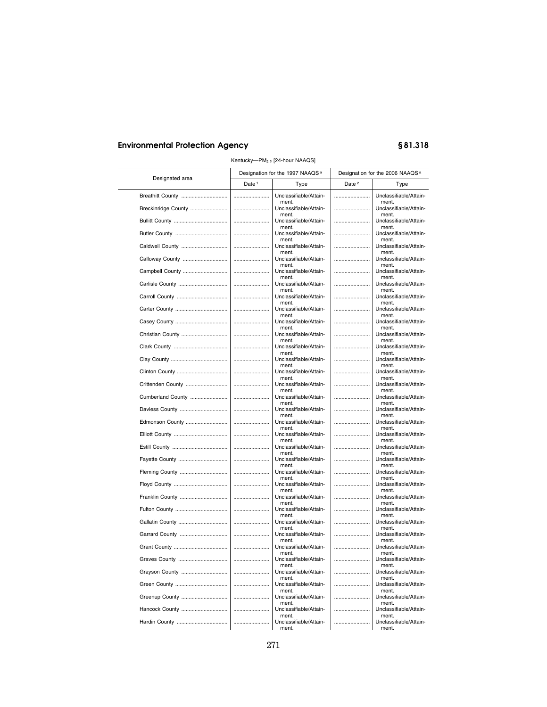| Designated area     |                                                                                                                                                                                                                                                                                                                                                                                                                                                                                                                                                               | Designation for the 1997 NAAQS <sup>a</sup> | Designation for the 2006 NAAQS <sup>a</sup> |                                          |
|---------------------|---------------------------------------------------------------------------------------------------------------------------------------------------------------------------------------------------------------------------------------------------------------------------------------------------------------------------------------------------------------------------------------------------------------------------------------------------------------------------------------------------------------------------------------------------------------|---------------------------------------------|---------------------------------------------|------------------------------------------|
|                     | Date <sup>1</sup>                                                                                                                                                                                                                                                                                                                                                                                                                                                                                                                                             | Type                                        | Date <sup>2</sup>                           | Type                                     |
| Breathitt County    |                                                                                                                                                                                                                                                                                                                                                                                                                                                                                                                                                               | Unclassifiable/Attain-                      |                                             | Unclassifiable/Attain-                   |
| Breckinridge County |                                                                                                                                                                                                                                                                                                                                                                                                                                                                                                                                                               | ment.<br>Unclassifiable/Attain-<br>ment.    |                                             | ment.<br>Unclassifiable/Attain-<br>ment. |
|                     |                                                                                                                                                                                                                                                                                                                                                                                                                                                                                                                                                               | Unclassifiable/Attain-                      |                                             | Unclassifiable/Attain-                   |
|                     |                                                                                                                                                                                                                                                                                                                                                                                                                                                                                                                                                               | ment.<br>Unclassifiable/Attain-<br>ment.    |                                             | ment.<br>Unclassifiable/Attain-<br>ment. |
| Caldwell County     |                                                                                                                                                                                                                                                                                                                                                                                                                                                                                                                                                               | Unclassifiable/Attain-<br>ment.             |                                             | Unclassifiable/Attain-<br>ment.          |
| Calloway County     |                                                                                                                                                                                                                                                                                                                                                                                                                                                                                                                                                               | Unclassifiable/Attain-<br>ment.             |                                             | Unclassifiable/Attain-<br>ment.          |
| Campbell County     |                                                                                                                                                                                                                                                                                                                                                                                                                                                                                                                                                               | Unclassifiable/Attain-<br>ment.             |                                             | Unclassifiable/Attain-<br>ment.          |
|                     |                                                                                                                                                                                                                                                                                                                                                                                                                                                                                                                                                               | Unclassifiable/Attain-<br>ment.             |                                             | Unclassifiable/Attain-<br>ment.          |
|                     |                                                                                                                                                                                                                                                                                                                                                                                                                                                                                                                                                               | Unclassifiable/Attain-<br>ment.             |                                             | Unclassifiable/Attain-<br>ment.          |
|                     |                                                                                                                                                                                                                                                                                                                                                                                                                                                                                                                                                               | Unclassifiable/Attain-<br>ment.             |                                             | Unclassifiable/Attain-<br>ment.          |
|                     |                                                                                                                                                                                                                                                                                                                                                                                                                                                                                                                                                               | Unclassifiable/Attain-<br>ment.             |                                             | Unclassifiable/Attain-<br>ment.          |
| Christian County    |                                                                                                                                                                                                                                                                                                                                                                                                                                                                                                                                                               | Unclassifiable/Attain-<br>ment.             |                                             | Unclassifiable/Attain-<br>ment.          |
|                     |                                                                                                                                                                                                                                                                                                                                                                                                                                                                                                                                                               | Unclassifiable/Attain-<br>ment.             |                                             | Unclassifiable/Attain-<br>ment.          |
|                     |                                                                                                                                                                                                                                                                                                                                                                                                                                                                                                                                                               | Unclassifiable/Attain-<br>ment.             |                                             | Unclassifiable/Attain-<br>ment.          |
|                     |                                                                                                                                                                                                                                                                                                                                                                                                                                                                                                                                                               | Unclassifiable/Attain-<br>ment.             |                                             | Unclassifiable/Attain-<br>ment.          |
| Crittenden County   |                                                                                                                                                                                                                                                                                                                                                                                                                                                                                                                                                               | Unclassifiable/Attain-<br>ment.             |                                             | Unclassifiable/Attain-<br>ment.          |
| Cumberland County   |                                                                                                                                                                                                                                                                                                                                                                                                                                                                                                                                                               | Unclassifiable/Attain-<br>ment.             |                                             | Unclassifiable/Attain-<br>ment.          |
| Daviess County      |                                                                                                                                                                                                                                                                                                                                                                                                                                                                                                                                                               | Unclassifiable/Attain-<br>ment.             |                                             | Unclassifiable/Attain-<br>ment.          |
| Edmonson County     |                                                                                                                                                                                                                                                                                                                                                                                                                                                                                                                                                               | Unclassifiable/Attain-<br>ment.             |                                             | Unclassifiable/Attain-<br>ment.          |
|                     |                                                                                                                                                                                                                                                                                                                                                                                                                                                                                                                                                               | Unclassifiable/Attain-<br>ment.             |                                             | Unclassifiable/Attain-<br>ment.          |
|                     |                                                                                                                                                                                                                                                                                                                                                                                                                                                                                                                                                               | Unclassifiable/Attain-<br>ment.             |                                             | Unclassifiable/Attain-<br>ment.          |
|                     |                                                                                                                                                                                                                                                                                                                                                                                                                                                                                                                                                               | Unclassifiable/Attain-<br>ment.             |                                             | Unclassifiable/Attain-<br>ment.          |
| Fleming County      |                                                                                                                                                                                                                                                                                                                                                                                                                                                                                                                                                               | Unclassifiable/Attain-<br>ment.             |                                             | Unclassifiable/Attain-<br>ment.          |
|                     |                                                                                                                                                                                                                                                                                                                                                                                                                                                                                                                                                               | Unclassifiable/Attain-<br>ment.             |                                             | Unclassifiable/Attain-<br>ment.          |
| Franklin County     |                                                                                                                                                                                                                                                                                                                                                                                                                                                                                                                                                               | Unclassifiable/Attain-<br>ment.             |                                             | Unclassifiable/Attain-<br>ment.          |
|                     |                                                                                                                                                                                                                                                                                                                                                                                                                                                                                                                                                               | Unclassifiable/Attain-<br>ment.             |                                             | Unclassifiable/Attain-<br>ment.          |
|                     |                                                                                                                                                                                                                                                                                                                                                                                                                                                                                                                                                               | Unclassifiable/Attain-<br>ment.             |                                             | Unclassifiable/Attain-<br>ment.          |
| Garrard County      |                                                                                                                                                                                                                                                                                                                                                                                                                                                                                                                                                               | Unclassifiable/Attain-<br>ment.             |                                             | Unclassifiable/Attain-<br>ment.          |
|                     |                                                                                                                                                                                                                                                                                                                                                                                                                                                                                                                                                               | Unclassifiable/Attain-<br>ment.             |                                             | Unclassifiable/Attain-<br>ment.          |
| Graves County       | $\begin{minipage}{.4\linewidth} \begin{minipage}{.4\linewidth} \begin{minipage}{.4\linewidth} \end{minipage} \begin{minipage}{.4\linewidth} \end{minipage} \begin{minipage}{.4\linewidth} \begin{minipage}{.4\linewidth} \end{minipage} \end{minipage} \begin{minipage}{.4\linewidth} \begin{minipage}{.4\linewidth} \end{minipage} \begin{minipage}{.4\linewidth} \end{minipage} \begin{minipage}{.4\linewidth} \end{minipage} \begin{minipage}{.4\linewidth} \end{minipage} \begin{minipage}{.4\linewidth} \end{minipage} \begin{minipage}{.4\linewidth} \$ | Unclassifiable/Attain-<br>ment.             |                                             | Unclassifiable/Attain-<br>ment.          |
| Grayson County      |                                                                                                                                                                                                                                                                                                                                                                                                                                                                                                                                                               | Unclassifiable/Attain-<br>ment.             |                                             | Unclassifiable/Attain-<br>ment.          |
|                     |                                                                                                                                                                                                                                                                                                                                                                                                                                                                                                                                                               | Unclassifiable/Attain-<br>ment.             |                                             | Unclassifiable/Attain-<br>ment.          |
| Greenup County      |                                                                                                                                                                                                                                                                                                                                                                                                                                                                                                                                                               | Unclassifiable/Attain-<br>ment.             |                                             | Unclassifiable/Attain-<br>ment.          |
| Hancock County      |                                                                                                                                                                                                                                                                                                                                                                                                                                                                                                                                                               | Unclassifiable/Attain-<br>ment.             |                                             | Unclassifiable/Attain-<br>ment.          |
|                     |                                                                                                                                                                                                                                                                                                                                                                                                                                                                                                                                                               | Unclassifiable/Attain-<br>ment.             |                                             | Unclassifiable/Attain-<br>ment.          |

#### Kentucky—PM<sub>2.5</sub> [24-hour NAAQS]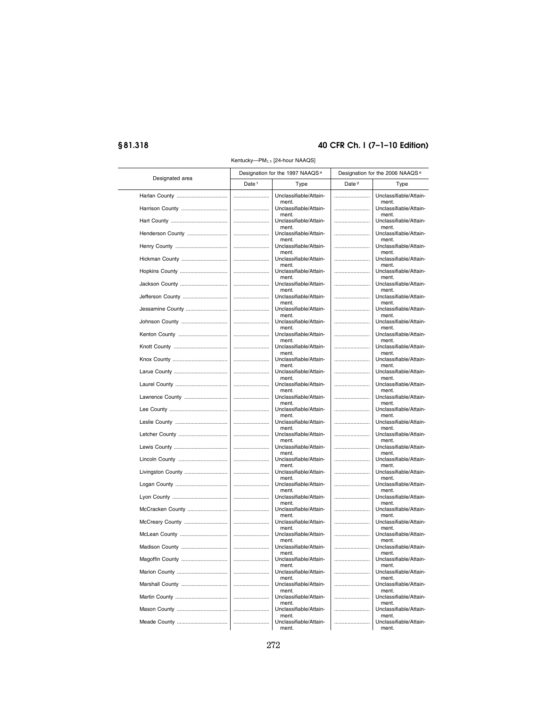| Designated area   |                   | Designation for the 1997 NAAQS <sup>a</sup> |                   | Designation for the 2006 NAAQS <sup>a</sup> |
|-------------------|-------------------|---------------------------------------------|-------------------|---------------------------------------------|
|                   | Date <sup>1</sup> | Type                                        | Date <sup>2</sup> | Type                                        |
| Harlan County     |                   | Unclassifiable/Attain-<br>ment.             |                   | Unclassifiable/Attain-<br>ment.             |
| Harrison County   |                   | Unclassifiable/Attain-<br>ment              |                   | Unclassifiable/Attain-<br>ment              |
|                   |                   | Unclassifiable/Attain-                      |                   | Unclassifiable/Attain-                      |
| Henderson County  |                   | ment.<br>Unclassifiable/Attain-             |                   | ment.<br>Unclassifiable/Attain-             |
|                   |                   | ment.<br>Unclassifiable/Attain-             |                   | ment.<br>Unclassifiable/Attain-             |
| Hickman County    |                   | ment.<br>Unclassifiable/Attain-             |                   | ment.<br>Unclassifiable/Attain-             |
| Hopkins County    |                   | ment.<br>Unclassifiable/Attain-             |                   | ment.<br>Unclassifiable/Attain-             |
| Jackson County    |                   | ment.<br>Unclassifiable/Attain-             |                   | ment.<br>Unclassifiable/Attain-             |
| Jefferson County  |                   | ment.<br>Unclassifiable/Attain-             |                   | ment.<br>Unclassifiable/Attain-             |
| Jessamine County  |                   | ment.<br>Unclassifiable/Attain-             |                   | ment.<br>Unclassifiable/Attain-             |
| Johnson County    |                   | ment.<br>Unclassifiable/Attain-             |                   | ment.<br>Unclassifiable/Attain-             |
| Kenton County     |                   | ment.<br>Unclassifiable/Attain-             |                   | ment.<br>Unclassifiable/Attain-             |
|                   |                   | ment.<br>Unclassifiable/Attain-             |                   | ment.<br>Unclassifiable/Attain-             |
|                   |                   | ment.<br>Unclassifiable/Attain-             |                   | ment.<br>Unclassifiable/Attain-             |
|                   |                   | ment.<br>Unclassifiable/Attain-             |                   | ment.<br>Unclassifiable/Attain-             |
|                   |                   | ment.<br>Unclassifiable/Attain-             |                   | ment.<br>Unclassifiable/Attain-             |
| Lawrence County   |                   | ment.<br>Unclassifiable/Attain-             |                   | ment.<br>Unclassifiable/Attain-             |
|                   |                   | ment.<br>Unclassifiable/Attain-             |                   | ment.<br>Unclassifiable/Attain-             |
|                   |                   | ment.<br>Unclassifiable/Attain-             |                   | ment.<br>Unclassifiable/Attain-             |
| Letcher County    |                   | ment.<br>Unclassifiable/Attain-             |                   | ment.<br>Unclassifiable/Attain-             |
|                   |                   | ment.<br>Unclassifiable/Attain-             |                   | ment.<br>Unclassifiable/Attain-             |
| Lincoln County    |                   | ment.<br>Unclassifiable/Attain-             |                   | ment.<br>Unclassifiable/Attain-             |
| Livingston County |                   | ment.<br>Unclassifiable/Attain-             |                   | ment.<br>Unclassifiable/Attain-             |
|                   |                   | ment.<br>Unclassifiable/Attain-             |                   | ment.<br>Unclassifiable/Attain-             |
|                   |                   | ment.<br>Unclassifiable/Attain-             |                   | ment.<br>Unclassifiable/Attain-             |
| McCracken County  |                   | ment.<br>Unclassifiable/Attain-             |                   | ment.<br>Unclassifiable/Attain-             |
|                   |                   | ment.<br>Unclassifiable/Attain-             |                   | ment.<br>Unclassifiable/Attain-             |
| McCreary County   |                   | ment.<br>Unclassifiable/Attain-             |                   | ment.<br>Unclassifiable/Attain-             |
| McLean County     |                   | ment.                                       |                   | ment.                                       |
| Madison County    |                   | Unclassifiable/Attain-<br>ment.             |                   | Unclassifiable/Attain-<br>ment.             |
| Magoffin County   |                   | Unclassifiable/Attain-<br>ment.             |                   | Unclassifiable/Attain-<br>ment.             |
| Marion County     |                   | Unclassifiable/Attain-<br>ment.             |                   | Unclassifiable/Attain-<br>ment.             |
| Marshall County   |                   | Unclassifiable/Attain-<br>ment.             |                   | Unclassifiable/Attain-<br>ment.             |
|                   |                   | Unclassifiable/Attain-<br>ment.             |                   | Unclassifiable/Attain-<br>ment.             |
| Mason County      |                   | Unclassifiable/Attain-<br>ment.             |                   | Unclassifiable/Attain-<br>ment.             |
| Meade County      |                   | Unclassifiable/Attain-<br>ment.             |                   | Unclassifiable/Attain-<br>ment.             |

Kentucky--PM<sub>2.5</sub> [24-hour NAAQS]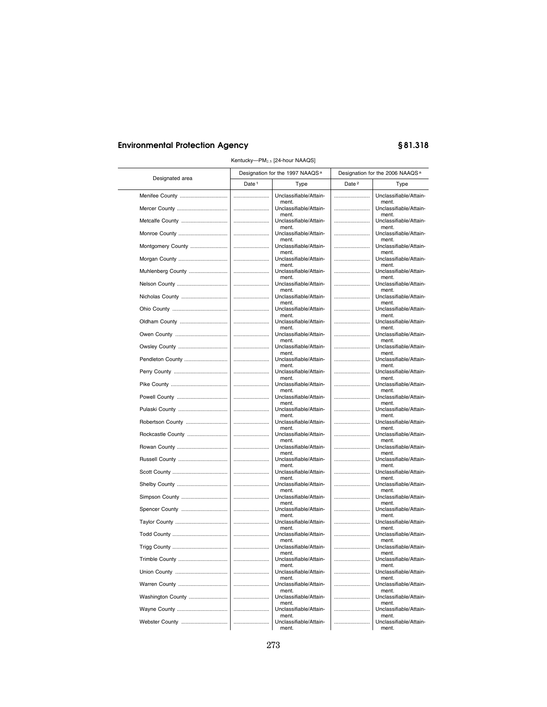| Designated area   |                                                                                                                                                                                                                                                                                                                                                                                                                                                                                                                                                               | Designation for the 1997 NAAQS <sup>a</sup> |                   | Designation for the 2006 NAAQS <sup>a</sup> |  |  |
|-------------------|---------------------------------------------------------------------------------------------------------------------------------------------------------------------------------------------------------------------------------------------------------------------------------------------------------------------------------------------------------------------------------------------------------------------------------------------------------------------------------------------------------------------------------------------------------------|---------------------------------------------|-------------------|---------------------------------------------|--|--|
|                   | Date <sup>1</sup>                                                                                                                                                                                                                                                                                                                                                                                                                                                                                                                                             | Type                                        | Date <sup>2</sup> | Type                                        |  |  |
|                   |                                                                                                                                                                                                                                                                                                                                                                                                                                                                                                                                                               | Unclassifiable/Attain-                      |                   | Unclassifiable/Attain-                      |  |  |
|                   |                                                                                                                                                                                                                                                                                                                                                                                                                                                                                                                                                               | ment.<br>Unclassifiable/Attain-<br>ment.    |                   | ment.<br>Unclassifiable/Attain-<br>ment.    |  |  |
|                   |                                                                                                                                                                                                                                                                                                                                                                                                                                                                                                                                                               | Unclassifiable/Attain-                      |                   | Unclassifiable/Attain-                      |  |  |
| Monroe County     |                                                                                                                                                                                                                                                                                                                                                                                                                                                                                                                                                               | ment.<br>Unclassifiable/Attain-<br>ment.    |                   | ment.<br>Unclassifiable/Attain-<br>ment.    |  |  |
| Montgomery County |                                                                                                                                                                                                                                                                                                                                                                                                                                                                                                                                                               | Unclassifiable/Attain-<br>ment.             |                   | Unclassifiable/Attain-<br>ment.             |  |  |
| Morgan County     |                                                                                                                                                                                                                                                                                                                                                                                                                                                                                                                                                               | Unclassifiable/Attain-<br>ment.             |                   | Unclassifiable/Attain-<br>ment.             |  |  |
| Muhlenberg County |                                                                                                                                                                                                                                                                                                                                                                                                                                                                                                                                                               | Unclassifiable/Attain-<br>ment.             |                   | Unclassifiable/Attain-<br>ment.             |  |  |
|                   |                                                                                                                                                                                                                                                                                                                                                                                                                                                                                                                                                               | Unclassifiable/Attain-<br>ment.             |                   | Unclassifiable/Attain-<br>ment.             |  |  |
|                   |                                                                                                                                                                                                                                                                                                                                                                                                                                                                                                                                                               | Unclassifiable/Attain-<br>ment.             |                   | Unclassifiable/Attain-<br>ment.             |  |  |
|                   |                                                                                                                                                                                                                                                                                                                                                                                                                                                                                                                                                               | Unclassifiable/Attain-<br>ment.             |                   | Unclassifiable/Attain-<br>ment.             |  |  |
|                   |                                                                                                                                                                                                                                                                                                                                                                                                                                                                                                                                                               | Unclassifiable/Attain-<br>ment.             |                   | Unclassifiable/Attain-<br>ment.             |  |  |
|                   |                                                                                                                                                                                                                                                                                                                                                                                                                                                                                                                                                               | Unclassifiable/Attain-<br>ment.             |                   | Unclassifiable/Attain-<br>ment.             |  |  |
| Owsley County     |                                                                                                                                                                                                                                                                                                                                                                                                                                                                                                                                                               | Unclassifiable/Attain-<br>ment.             |                   | Unclassifiable/Attain-<br>ment.             |  |  |
| Pendleton County  |                                                                                                                                                                                                                                                                                                                                                                                                                                                                                                                                                               | Unclassifiable/Attain-<br>ment.             |                   | Unclassifiable/Attain-<br>ment.             |  |  |
|                   |                                                                                                                                                                                                                                                                                                                                                                                                                                                                                                                                                               | Unclassifiable/Attain-<br>ment.             |                   | Unclassifiable/Attain-<br>ment.             |  |  |
|                   |                                                                                                                                                                                                                                                                                                                                                                                                                                                                                                                                                               | Unclassifiable/Attain-<br>ment.             |                   | Unclassifiable/Attain-<br>ment.             |  |  |
|                   |                                                                                                                                                                                                                                                                                                                                                                                                                                                                                                                                                               | Unclassifiable/Attain-<br>ment.             |                   | Unclassifiable/Attain-<br>ment.             |  |  |
|                   |                                                                                                                                                                                                                                                                                                                                                                                                                                                                                                                                                               | Unclassifiable/Attain-<br>ment.             |                   | Unclassifiable/Attain-<br>ment.             |  |  |
| Robertson County  |                                                                                                                                                                                                                                                                                                                                                                                                                                                                                                                                                               | Unclassifiable/Attain-<br>ment.             |                   | Unclassifiable/Attain-<br>ment.             |  |  |
| Rockcastle County |                                                                                                                                                                                                                                                                                                                                                                                                                                                                                                                                                               | Unclassifiable/Attain-<br>ment.             |                   | Unclassifiable/Attain-<br>ment.             |  |  |
| Rowan County      |                                                                                                                                                                                                                                                                                                                                                                                                                                                                                                                                                               | Unclassifiable/Attain-<br>ment.             |                   | Unclassifiable/Attain-<br>ment.             |  |  |
|                   |                                                                                                                                                                                                                                                                                                                                                                                                                                                                                                                                                               | Unclassifiable/Attain-<br>ment.             |                   | Unclassifiable/Attain-<br>ment.             |  |  |
|                   |                                                                                                                                                                                                                                                                                                                                                                                                                                                                                                                                                               | Unclassifiable/Attain-<br>ment.             |                   | Unclassifiable/Attain-<br>ment.             |  |  |
|                   |                                                                                                                                                                                                                                                                                                                                                                                                                                                                                                                                                               | Unclassifiable/Attain-<br>ment.             |                   | Unclassifiable/Attain-<br>ment.             |  |  |
| Simpson County    |                                                                                                                                                                                                                                                                                                                                                                                                                                                                                                                                                               | Unclassifiable/Attain-<br>ment.             |                   | Unclassifiable/Attain-<br>ment.             |  |  |
| Spencer County    |                                                                                                                                                                                                                                                                                                                                                                                                                                                                                                                                                               | Unclassifiable/Attain-<br>ment.             |                   | Unclassifiable/Attain-<br>ment.             |  |  |
|                   |                                                                                                                                                                                                                                                                                                                                                                                                                                                                                                                                                               | Unclassifiable/Attain-<br>ment.             |                   | Unclassifiable/Attain-<br>ment.             |  |  |
|                   |                                                                                                                                                                                                                                                                                                                                                                                                                                                                                                                                                               | Unclassifiable/Attain-<br>ment.             |                   | Unclassifiable/Attain-<br>ment.             |  |  |
|                   |                                                                                                                                                                                                                                                                                                                                                                                                                                                                                                                                                               | Unclassifiable/Attain-<br>ment.             |                   | Unclassifiable/Attain-<br>ment.             |  |  |
| Trimble County    | $\begin{minipage}{.4\linewidth} \begin{minipage}{.4\linewidth} \begin{minipage}{.4\linewidth} \end{minipage} \begin{minipage}{.4\linewidth} \end{minipage} \begin{minipage}{.4\linewidth} \begin{minipage}{.4\linewidth} \end{minipage} \end{minipage} \begin{minipage}{.4\linewidth} \begin{minipage}{.4\linewidth} \end{minipage} \begin{minipage}{.4\linewidth} \end{minipage} \begin{minipage}{.4\linewidth} \end{minipage} \begin{minipage}{.4\linewidth} \end{minipage} \begin{minipage}{.4\linewidth} \end{minipage} \begin{minipage}{.4\linewidth} \$ | Unclassifiable/Attain-<br>ment.             |                   | Unclassifiable/Attain-<br>ment.             |  |  |
|                   |                                                                                                                                                                                                                                                                                                                                                                                                                                                                                                                                                               | Unclassifiable/Attain-<br>ment.             |                   | Unclassifiable/Attain-<br>ment.             |  |  |
| Warren County     |                                                                                                                                                                                                                                                                                                                                                                                                                                                                                                                                                               | Unclassifiable/Attain-<br>ment.             |                   | Unclassifiable/Attain-<br>ment.             |  |  |
| Washington County |                                                                                                                                                                                                                                                                                                                                                                                                                                                                                                                                                               | Unclassifiable/Attain-<br>ment.             |                   | Unclassifiable/Attain-<br>ment.             |  |  |
|                   |                                                                                                                                                                                                                                                                                                                                                                                                                                                                                                                                                               | Unclassifiable/Attain-<br>ment.             |                   | Unclassifiable/Attain-<br>ment.             |  |  |
| Webster County    |                                                                                                                                                                                                                                                                                                                                                                                                                                                                                                                                                               | Unclassifiable/Attain-<br>ment.             |                   | Unclassifiable/Attain-<br>ment.             |  |  |

#### Kentucky—PM<sub>2.5</sub> [24-hour NAAQS]